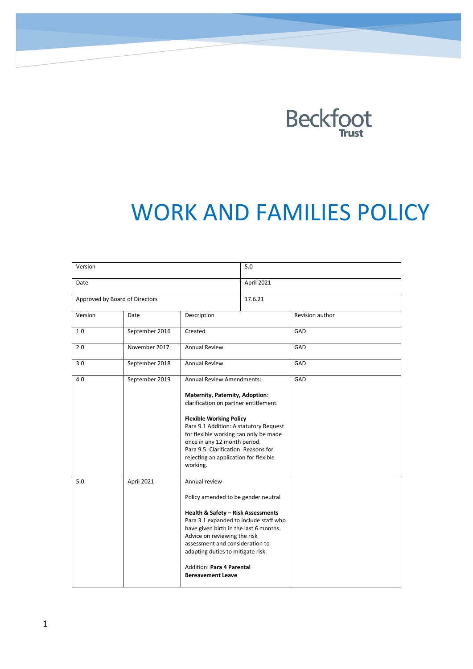

# WORK AND FAMILIES POLICY

| Version                        |                |                                                                                                                                                                                                                                                                                                                                                            | 5.0        |                 |
|--------------------------------|----------------|------------------------------------------------------------------------------------------------------------------------------------------------------------------------------------------------------------------------------------------------------------------------------------------------------------------------------------------------------------|------------|-----------------|
| Date                           |                |                                                                                                                                                                                                                                                                                                                                                            | April 2021 |                 |
| Approved by Board of Directors |                |                                                                                                                                                                                                                                                                                                                                                            | 17.6.21    |                 |
| Version                        | Date           | Description                                                                                                                                                                                                                                                                                                                                                |            | Revision author |
| 1.0                            | September 2016 | Created                                                                                                                                                                                                                                                                                                                                                    |            | GAD             |
| 2.0                            | November 2017  | <b>Annual Review</b>                                                                                                                                                                                                                                                                                                                                       |            | GAD             |
| 3.0                            | September 2018 | <b>Annual Review</b>                                                                                                                                                                                                                                                                                                                                       |            | GAD             |
| 4.0                            | September 2019 | Annual Review Amendments:<br>Maternity, Paternity, Adoption:<br>clarification on partner entitlement.<br><b>Flexible Working Policy</b><br>Para 9.1 Addition: A statutory Request<br>for flexible working can only be made<br>once in any 12 month period.<br>Para 9.5: Clarification: Reasons for<br>rejecting an application for flexible<br>working.    |            | GAD             |
| 5.0                            | April 2021     | Annual review<br>Policy amended to be gender neutral<br><b>Health &amp; Safety - Risk Assessments</b><br>Para 3.1 expanded to include staff who<br>have given birth in the last 6 months.<br>Advice on reviewing the risk<br>assessment and consideration to<br>adapting duties to mitigate risk.<br>Addition: Para 4 Parental<br><b>Bereavement Leave</b> |            |                 |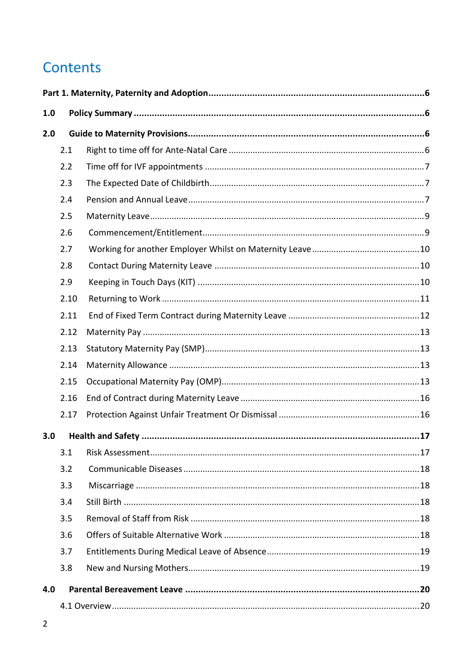# Contents

| 1.0 |      |  |
|-----|------|--|
| 2.0 |      |  |
|     | 2.1  |  |
|     | 2.2  |  |
|     | 2.3  |  |
|     | 2.4  |  |
|     | 2.5  |  |
|     | 2.6  |  |
|     | 2.7  |  |
|     | 2.8  |  |
|     | 2.9  |  |
|     | 2.10 |  |
|     | 2.11 |  |
|     | 2.12 |  |
|     | 2.13 |  |
|     | 2.14 |  |
|     | 2.15 |  |
|     | 2.16 |  |
|     | 2.17 |  |
| 3.0 |      |  |
|     | 3.1  |  |
|     | 3.2  |  |
|     | 3.3  |  |
|     | 3.4  |  |
|     | 3.5  |  |
|     | 3.6  |  |
|     | 3.7  |  |
|     | 3.8  |  |
| 4.0 |      |  |
|     |      |  |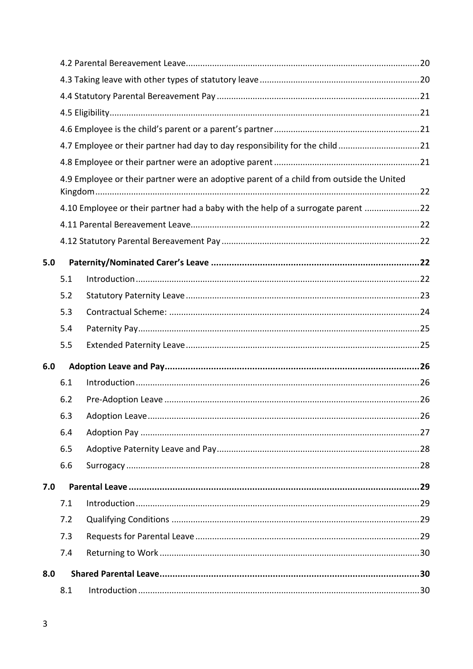|     | 8.1 |                                                                                          |  |
|-----|-----|------------------------------------------------------------------------------------------|--|
| 8.0 |     |                                                                                          |  |
|     | 7.4 |                                                                                          |  |
|     | 7.3 |                                                                                          |  |
|     | 7.2 |                                                                                          |  |
|     | 7.1 |                                                                                          |  |
| 7.0 |     |                                                                                          |  |
|     | 6.6 |                                                                                          |  |
|     | 6.5 |                                                                                          |  |
|     | 6.4 |                                                                                          |  |
|     | 6.3 |                                                                                          |  |
|     | 6.2 |                                                                                          |  |
|     | 6.1 |                                                                                          |  |
| 6.0 |     |                                                                                          |  |
|     | 5.5 |                                                                                          |  |
|     | 5.4 |                                                                                          |  |
|     | 5.3 |                                                                                          |  |
|     | 5.2 |                                                                                          |  |
|     | 5.1 |                                                                                          |  |
| 5.0 |     |                                                                                          |  |
|     |     |                                                                                          |  |
|     |     |                                                                                          |  |
|     |     | 4.10 Employee or their partner had a baby with the help of a surrogate parent 22         |  |
|     |     |                                                                                          |  |
|     |     | 4.9 Employee or their partner were an adoptive parent of a child from outside the United |  |
|     |     |                                                                                          |  |
|     |     | 4.7 Employee or their partner had day to day responsibility for the child21              |  |
|     |     |                                                                                          |  |
|     |     |                                                                                          |  |
|     |     |                                                                                          |  |
|     |     |                                                                                          |  |
|     |     |                                                                                          |  |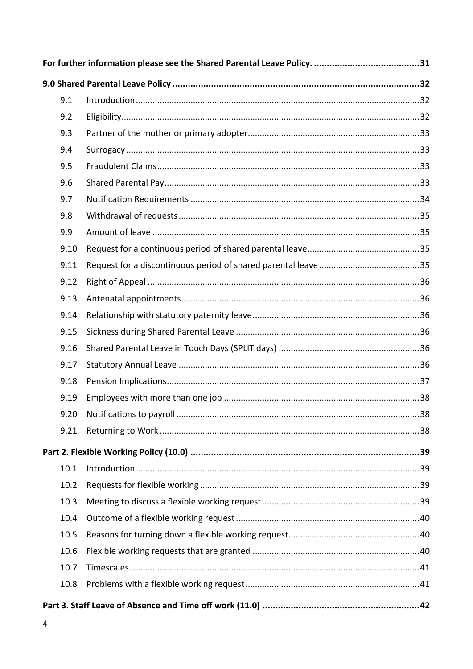| 9.1  |  |
|------|--|
| 9.2  |  |
| 9.3  |  |
| 9.4  |  |
| 9.5  |  |
| 9.6  |  |
| 9.7  |  |
| 9.8  |  |
| 9.9  |  |
| 9.10 |  |
| 9.11 |  |
| 9.12 |  |
| 9.13 |  |
| 9.14 |  |
| 9.15 |  |
| 9.16 |  |
| 9.17 |  |
| 9.18 |  |
| 9.19 |  |
| 9.20 |  |
| 9.21 |  |
|      |  |
| 10.1 |  |
| 10.2 |  |
| 10.3 |  |
| 10.4 |  |
| 10.5 |  |
| 10.6 |  |
| 10.7 |  |
| 10.8 |  |
|      |  |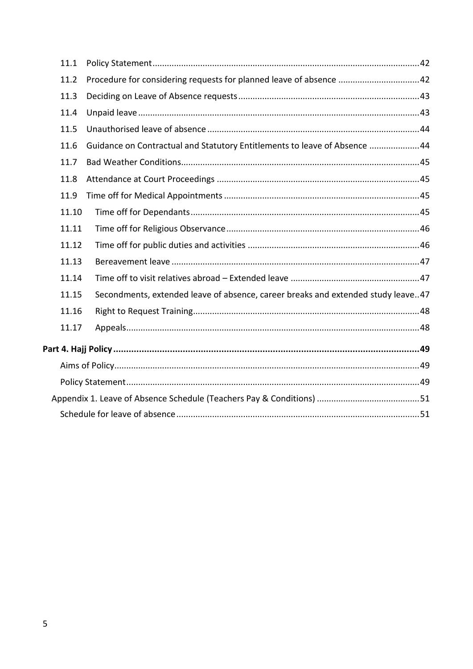| 11.1  |                                                                                  |
|-------|----------------------------------------------------------------------------------|
| 11.2  | Procedure for considering requests for planned leave of absence 42               |
| 11.3  |                                                                                  |
| 11.4  |                                                                                  |
| 11.5  |                                                                                  |
| 11.6  | Guidance on Contractual and Statutory Entitlements to leave of Absence 44        |
| 11.7  |                                                                                  |
| 11.8  |                                                                                  |
| 11.9  |                                                                                  |
| 11.10 |                                                                                  |
| 11.11 |                                                                                  |
| 11.12 |                                                                                  |
| 11.13 |                                                                                  |
| 11.14 |                                                                                  |
| 11.15 | Secondments, extended leave of absence, career breaks and extended study leave47 |
| 11.16 |                                                                                  |
| 11.17 |                                                                                  |
|       |                                                                                  |
|       |                                                                                  |
|       |                                                                                  |
|       |                                                                                  |
|       |                                                                                  |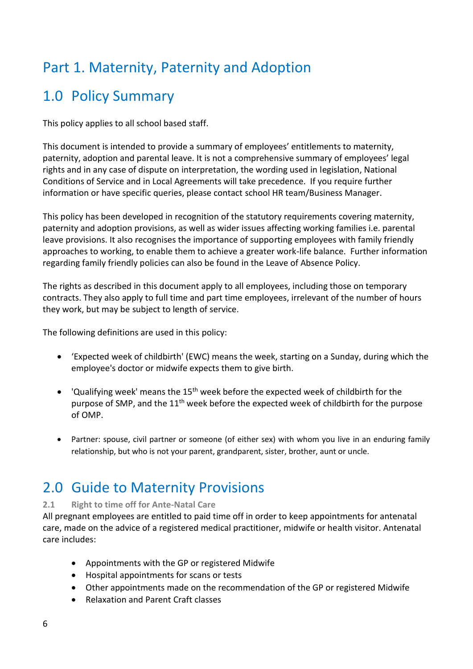# <span id="page-5-1"></span><span id="page-5-0"></span>Part 1. Maternity, Paternity and Adoption

# 1.0 Policy Summary

This policy applies to all school based staff.

This document is intended to provide a summary of employees' entitlements to maternity, paternity, adoption and parental leave. It is not a comprehensive summary of employees' legal rights and in any case of dispute on interpretation, the wording used in legislation, National Conditions of Service and in Local Agreements will take precedence. If you require further information or have specific queries, please contact school HR team/Business Manager.

This policy has been developed in recognition of the statutory requirements covering maternity, paternity and adoption provisions, as well as wider issues affecting working families i.e. parental leave provisions. It also recognises the importance of supporting employees with family friendly approaches to working, to enable them to achieve a greater work-life balance. Further information regarding family friendly policies can also be found in the Leave of Absence Policy.

The rights as described in this document apply to all employees, including those on temporary contracts. They also apply to full time and part time employees, irrelevant of the number of hours they work, but may be subject to length of service.

The following definitions are used in this policy:

- 'Expected week of childbirth' (EWC) means the week, starting on a Sunday, during which the employee's doctor or midwife expects them to give birth.
- 'Qualifying week' means the  $15<sup>th</sup>$  week before the expected week of childbirth for the purpose of SMP, and the 11<sup>th</sup> week before the expected week of childbirth for the purpose of OMP.
- Partner: spouse, civil partner or someone (of either sex) with whom you live in an enduring family relationship, but who is not your parent, grandparent, sister, brother, aunt or uncle.

# <span id="page-5-2"></span>2.0 Guide to Maternity Provisions

### <span id="page-5-3"></span>**2.1 Right to time off for Ante-Natal Care**

All pregnant employees are entitled to paid time off in order to keep appointments for antenatal care, made on the advice of a registered medical practitioner, midwife or health visitor. Antenatal care includes:

- Appointments with the GP or registered Midwife
- Hospital appointments for scans or tests
- Other appointments made on the recommendation of the GP or registered Midwife
- Relaxation and Parent Craft classes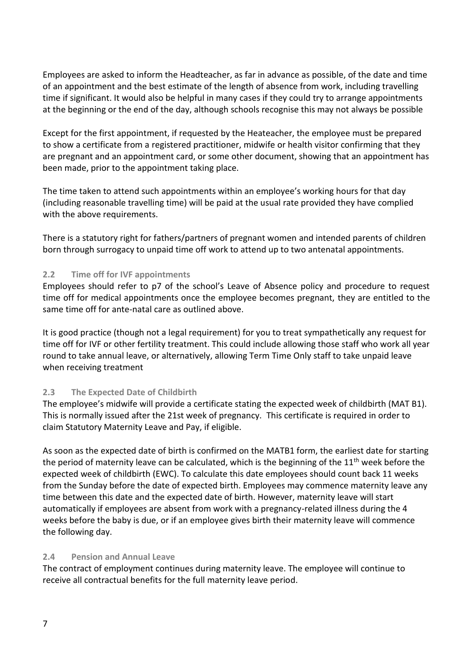Employees are asked to inform the Headteacher, as far in advance as possible, of the date and time of an appointment and the best estimate of the length of absence from work, including travelling time if significant. It would also be helpful in many cases if they could try to arrange appointments at the beginning or the end of the day, although schools recognise this may not always be possible

Except for the first appointment, if requested by the Heateacher, the employee must be prepared to show a certificate from a registered practitioner, midwife or health visitor confirming that they are pregnant and an appointment card, or some other document, showing that an appointment has been made, prior to the appointment taking place.

The time taken to attend such appointments within an employee's working hours for that day (including reasonable travelling time) will be paid at the usual rate provided they have complied with the above requirements.

There is a statutory right for fathers/partners of pregnant women and intended parents of children born through surrogacy to unpaid time off work to attend up to two antenatal appointments.

### <span id="page-6-0"></span>**2.2 Time off for IVF appointments**

Employees should refer to p7 of the school's Leave of Absence policy and procedure to request time off for medical appointments once the employee becomes pregnant, they are entitled to the same time off for ante-natal care as outlined above.

It is good practice (though not a legal requirement) for you to treat sympathetically any request for time off for IVF or other fertility treatment. This could include allowing those staff who work all year round to take annual leave, or alternatively, allowing Term Time Only staff to take unpaid leave when receiving treatment

### <span id="page-6-1"></span>**2.3 The Expected Date of Childbirth**

The employee's midwife will provide a certificate stating the expected week of childbirth (MAT B1). This is normally issued after the 21st week of pregnancy. This certificate is required in order to claim Statutory Maternity Leave and Pay, if eligible.

As soon as the expected date of birth is confirmed on the MATB1 form, the earliest date for starting the period of maternity leave can be calculated, which is the beginning of the 11<sup>th</sup> week before the expected week of childbirth (EWC). To calculate this date employees should count back 11 weeks from the Sunday before the date of expected birth. Employees may commence maternity leave any time between this date and the expected date of birth. However, maternity leave will start automatically if employees are absent from work with a pregnancy-related illness during the 4 weeks before the baby is due, or if an employee gives birth their maternity leave will commence the following day.

### <span id="page-6-2"></span>**2.4 Pension and Annual Leave**

The contract of employment continues during maternity leave. The employee will continue to receive all contractual benefits for the full maternity leave period.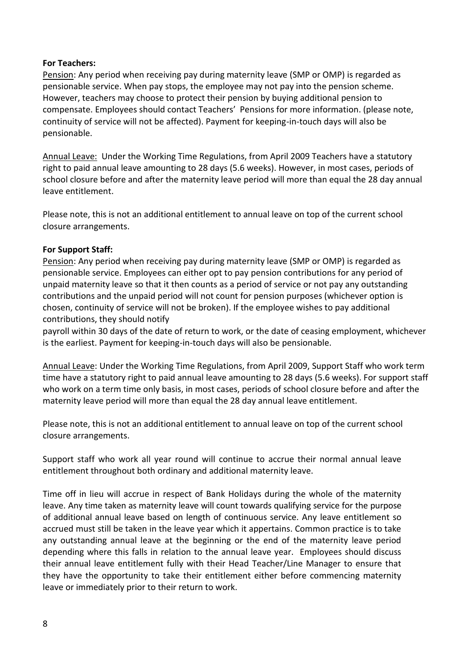### **For Teachers:**

Pension: Any period when receiving pay during maternity leave (SMP or OMP) is regarded as pensionable service. When pay stops, the employee may not pay into the pension scheme. However, teachers may choose to protect their pension by buying additional pension to compensate. Employees should contact Teachers' Pensions for more information. (please note, continuity of service will not be affected). Payment for keeping-in-touch days will also be pensionable.

Annual Leave: Under the Working Time Regulations, from April 2009 Teachers have a statutory right to paid annual leave amounting to 28 days (5.6 weeks). However, in most cases, periods of school closure before and after the maternity leave period will more than equal the 28 day annual leave entitlement.

Please note, this is not an additional entitlement to annual leave on top of the current school closure arrangements.

### **For Support Staff:**

Pension: Any period when receiving pay during maternity leave (SMP or OMP) is regarded as pensionable service. Employees can either opt to pay pension contributions for any period of unpaid maternity leave so that it then counts as a period of service or not pay any outstanding contributions and the unpaid period will not count for pension purposes (whichever option is chosen, continuity of service will not be broken). If the employee wishes to pay additional contributions, they should notify

payroll within 30 days of the date of return to work, or the date of ceasing employment, whichever is the earliest. Payment for keeping-in-touch days will also be pensionable.

Annual Leave: Under the Working Time Regulations, from April 2009, Support Staff who work term time have a statutory right to paid annual leave amounting to 28 days (5.6 weeks). For support staff who work on a term time only basis, in most cases, periods of school closure before and after the maternity leave period will more than equal the 28 day annual leave entitlement.

Please note, this is not an additional entitlement to annual leave on top of the current school closure arrangements.

Support staff who work all year round will continue to accrue their normal annual leave entitlement throughout both ordinary and additional maternity leave.

Time off in lieu will accrue in respect of Bank Holidays during the whole of the maternity leave. Any time taken as maternity leave will count towards qualifying service for the purpose of additional annual leave based on length of continuous service. Any leave entitlement so accrued must still be taken in the leave year which it appertains. Common practice is to take any outstanding annual leave at the beginning or the end of the maternity leave period depending where this falls in relation to the annual leave year. Employees should discuss their annual leave entitlement fully with their Head Teacher/Line Manager to ensure that they have the opportunity to take their entitlement either before commencing maternity leave or immediately prior to their return to work.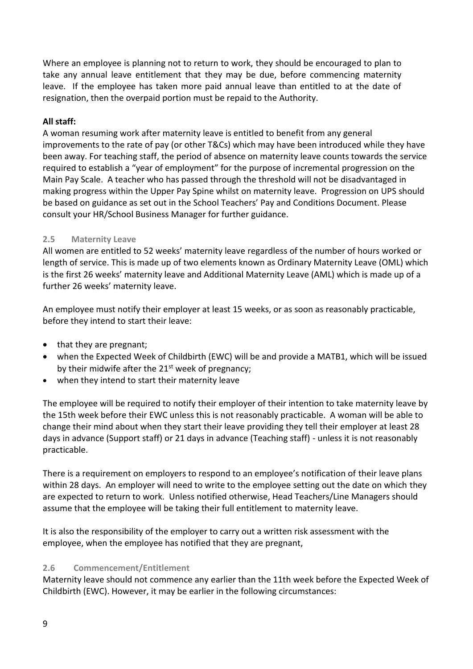Where an employee is planning not to return to work, they should be encouraged to plan to take any annual leave entitlement that they may be due, before commencing maternity leave. If the employee has taken more paid annual leave than entitled to at the date of resignation, then the overpaid portion must be repaid to the Authority.

### **All staff:**

A woman resuming work after maternity leave is entitled to benefit from any general improvements to the rate of pay (or other T&Cs) which may have been introduced while they have been away. For teaching staff, the period of absence on maternity leave counts towards the service required to establish a "year of employment" for the purpose of incremental progression on the Main Pay Scale. A teacher who has passed through the threshold will not be disadvantaged in making progress within the Upper Pay Spine whilst on maternity leave. Progression on UPS should be based on guidance as set out in the School Teachers' Pay and Conditions Document. Please consult your HR/School Business Manager for further guidance.

### <span id="page-8-0"></span>**2.5 Maternity Leave**

All women are entitled to 52 weeks' maternity leave regardless of the number of hours worked or length of service. This is made up of two elements known as Ordinary Maternity Leave (OML) which is the first 26 weeks' maternity leave and Additional Maternity Leave (AML) which is made up of a further 26 weeks' maternity leave.

An employee must notify their employer at least 15 weeks, or as soon as reasonably practicable, before they intend to start their leave:

- that they are pregnant;
- when the Expected Week of Childbirth (EWC) will be and provide a MATB1, which will be issued by their midwife after the 21<sup>st</sup> week of pregnancy;
- when they intend to start their maternity leave

The employee will be required to notify their employer of their intention to take maternity leave by the 15th week before their EWC unless this is not reasonably practicable. A woman will be able to change their mind about when they start their leave providing they tell their employer at least 28 days in advance (Support staff) or 21 days in advance (Teaching staff) - unless it is not reasonably practicable.

There is a requirement on employers to respond to an employee's notification of their leave plans within 28 days. An employer will need to write to the employee setting out the date on which they are expected to return to work. Unless notified otherwise, Head Teachers/Line Managers should assume that the employee will be taking their full entitlement to maternity leave.

It is also the responsibility of the employer to carry out a written risk assessment with the employee, when the employee has notified that they are pregnant,

### <span id="page-8-1"></span>**2.6 Commencement/Entitlement**

Maternity leave should not commence any earlier than the 11th week before the Expected Week of Childbirth (EWC). However, it may be earlier in the following circumstances: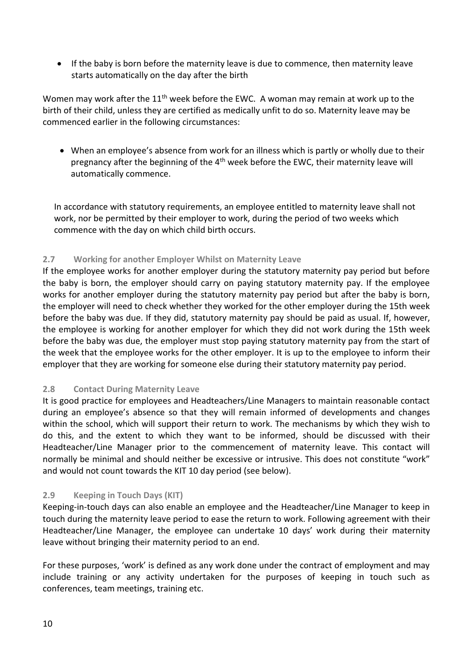• If the baby is born before the maternity leave is due to commence, then maternity leave starts automatically on the day after the birth

Women may work after the  $11<sup>th</sup>$  week before the EWC. A woman may remain at work up to the birth of their child, unless they are certified as medically unfit to do so. Maternity leave may be commenced earlier in the following circumstances:

• When an employee's absence from work for an illness which is partly or wholly due to their pregnancy after the beginning of the  $4<sup>th</sup>$  week before the EWC, their maternity leave will automatically commence.

In accordance with statutory requirements, an employee entitled to maternity leave shall not work, nor be permitted by their employer to work, during the period of two weeks which commence with the day on which child birth occurs.

### <span id="page-9-0"></span>**2.7 Working for another Employer Whilst on Maternity Leave**

If the employee works for another employer during the statutory maternity pay period but before the baby is born, the employer should carry on paying statutory maternity pay. If the employee works for another employer during the statutory maternity pay period but after the baby is born, the employer will need to check whether they worked for the other employer during the 15th week before the baby was due. If they did, statutory maternity pay should be paid as usual. If, however, the employee is working for another employer for which they did not work during the 15th week before the baby was due, the employer must stop paying statutory maternity pay from the start of the week that the employee works for the other employer. It is up to the employee to inform their employer that they are working for someone else during their statutory maternity pay period.

### <span id="page-9-1"></span>**2.8 Contact During Maternity Leave**

It is good practice for employees and Headteachers/Line Managers to maintain reasonable contact during an employee's absence so that they will remain informed of developments and changes within the school, which will support their return to work. The mechanisms by which they wish to do this, and the extent to which they want to be informed, should be discussed with their Headteacher/Line Manager prior to the commencement of maternity leave. This contact will normally be minimal and should neither be excessive or intrusive. This does not constitute "work" and would not count towards the KIT 10 day period (see below).

### <span id="page-9-2"></span>**2.9 Keeping in Touch Days (KIT)**

Keeping-in-touch days can also enable an employee and the Headteacher/Line Manager to keep in touch during the maternity leave period to ease the return to work. Following agreement with their Headteacher/Line Manager, the employee can undertake 10 days' work during their maternity leave without bringing their maternity period to an end.

For these purposes, 'work' is defined as any work done under the contract of employment and may include training or any activity undertaken for the purposes of keeping in touch such as conferences, team meetings, training etc.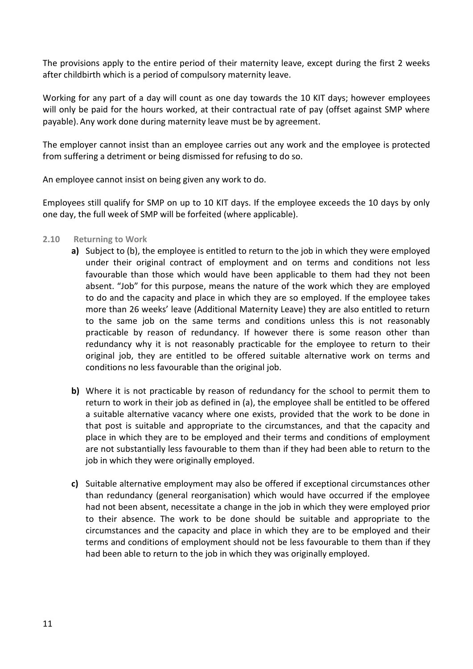The provisions apply to the entire period of their maternity leave, except during the first 2 weeks after childbirth which is a period of compulsory maternity leave.

Working for any part of a day will count as one day towards the 10 KIT days; however employees will only be paid for the hours worked, at their contractual rate of pay (offset against SMP where payable). Any work done during maternity leave must be by agreement.

The employer cannot insist than an employee carries out any work and the employee is protected from suffering a detriment or being dismissed for refusing to do so.

An employee cannot insist on being given any work to do.

Employees still qualify for SMP on up to 10 KIT days. If the employee exceeds the 10 days by only one day, the full week of SMP will be forfeited (where applicable).

- <span id="page-10-0"></span>**2.10 Returning to Work**
	- **a)** Subject to (b), the employee is entitled to return to the job in which they were employed under their original contract of employment and on terms and conditions not less favourable than those which would have been applicable to them had they not been absent. "Job" for this purpose, means the nature of the work which they are employed to do and the capacity and place in which they are so employed. If the employee takes more than 26 weeks' leave (Additional Maternity Leave) they are also entitled to return to the same job on the same terms and conditions unless this is not reasonably practicable by reason of redundancy. If however there is some reason other than redundancy why it is not reasonably practicable for the employee to return to their original job, they are entitled to be offered suitable alternative work on terms and conditions no less favourable than the original job.
	- **b)** Where it is not practicable by reason of redundancy for the school to permit them to return to work in their job as defined in (a), the employee shall be entitled to be offered a suitable alternative vacancy where one exists, provided that the work to be done in that post is suitable and appropriate to the circumstances, and that the capacity and place in which they are to be employed and their terms and conditions of employment are not substantially less favourable to them than if they had been able to return to the job in which they were originally employed.
	- **c)** Suitable alternative employment may also be offered if exceptional circumstances other than redundancy (general reorganisation) which would have occurred if the employee had not been absent, necessitate a change in the job in which they were employed prior to their absence. The work to be done should be suitable and appropriate to the circumstances and the capacity and place in which they are to be employed and their terms and conditions of employment should not be less favourable to them than if they had been able to return to the job in which they was originally employed.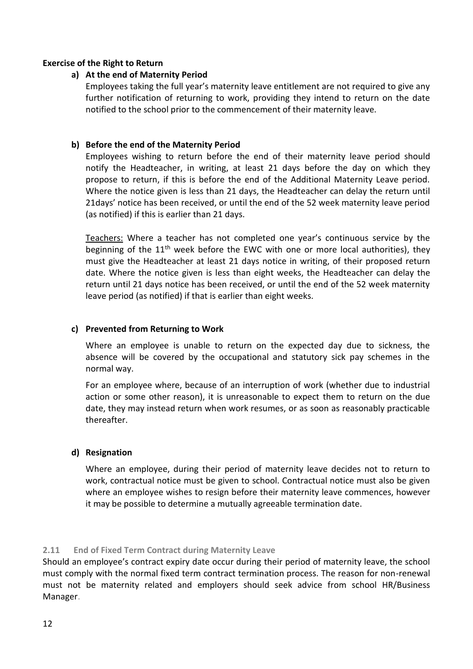### **Exercise of the Right to Return**

### **a) At the end of Maternity Period**

Employees taking the full year's maternity leave entitlement are not required to give any further notification of returning to work, providing they intend to return on the date notified to the school prior to the commencement of their maternity leave.

### **b) Before the end of the Maternity Period**

Employees wishing to return before the end of their maternity leave period should notify the Headteacher, in writing, at least 21 days before the day on which they propose to return, if this is before the end of the Additional Maternity Leave period. Where the notice given is less than 21 days, the Headteacher can delay the return until 21days' notice has been received, or until the end of the 52 week maternity leave period (as notified) if this is earlier than 21 days.

Teachers: Where a teacher has not completed one year's continuous service by the beginning of the  $11<sup>th</sup>$  week before the EWC with one or more local authorities), they must give the Headteacher at least 21 days notice in writing, of their proposed return date. Where the notice given is less than eight weeks, the Headteacher can delay the return until 21 days notice has been received, or until the end of the 52 week maternity leave period (as notified) if that is earlier than eight weeks.

### **c) Prevented from Returning to Work**

Where an employee is unable to return on the expected day due to sickness, the absence will be covered by the occupational and statutory sick pay schemes in the normal way.

For an employee where, because of an interruption of work (whether due to industrial action or some other reason), it is unreasonable to expect them to return on the due date, they may instead return when work resumes, or as soon as reasonably practicable thereafter.

### **d) Resignation**

Where an employee, during their period of maternity leave decides not to return to work, contractual notice must be given to school. Contractual notice must also be given where an employee wishes to resign before their maternity leave commences, however it may be possible to determine a mutually agreeable termination date.

### <span id="page-11-0"></span>**2.11 End of Fixed Term Contract during Maternity Leave**

Should an employee's contract expiry date occur during their period of maternity leave, the school must comply with the normal fixed term contract termination process. The reason for non-renewal must not be maternity related and employers should seek advice from school HR/Business Manager.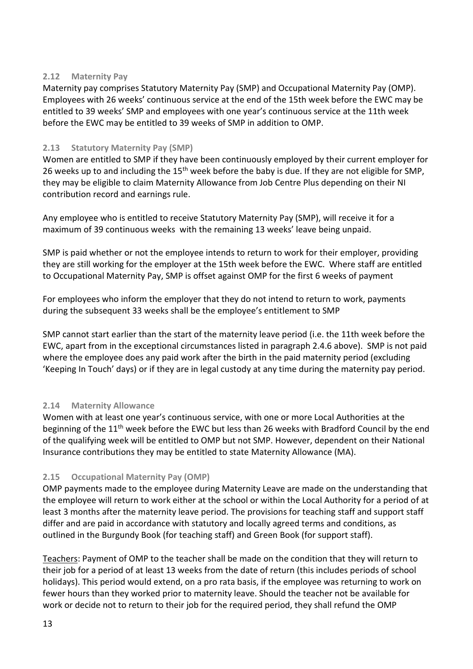### <span id="page-12-0"></span>**2.12 Maternity Pay**

Maternity pay comprises Statutory Maternity Pay (SMP) and Occupational Maternity Pay (OMP). Employees with 26 weeks' continuous service at the end of the 15th week before the EWC may be entitled to 39 weeks' SMP and employees with one year's continuous service at the 11th week before the EWC may be entitled to 39 weeks of SMP in addition to OMP.

### <span id="page-12-1"></span>**2.13 Statutory Maternity Pay (SMP)**

Women are entitled to SMP if they have been continuously employed by their current employer for 26 weeks up to and including the 15<sup>th</sup> week before the baby is due. If they are not eligible for SMP, they may be eligible to claim Maternity Allowance from Job Centre Plus depending on their NI contribution record and earnings rule.

Any employee who is entitled to receive Statutory Maternity Pay (SMP), will receive it for a maximum of 39 continuous weeks with the remaining 13 weeks' leave being unpaid.

SMP is paid whether or not the employee intends to return to work for their employer, providing they are still working for the employer at the 15th week before the EWC. Where staff are entitled to Occupational Maternity Pay, SMP is offset against OMP for the first 6 weeks of payment

For employees who inform the employer that they do not intend to return to work, payments during the subsequent 33 weeks shall be the employee's entitlement to SMP

SMP cannot start earlier than the start of the maternity leave period (i.e. the 11th week before the EWC, apart from in the exceptional circumstances listed in paragraph 2.4.6 above). SMP is not paid where the employee does any paid work after the birth in the paid maternity period (excluding 'Keeping In Touch' days) or if they are in legal custody at any time during the maternity pay period.

### <span id="page-12-2"></span>**2.14 Maternity Allowance**

Women with at least one year's continuous service, with one or more Local Authorities at the beginning of the 11<sup>th</sup> week before the EWC but less than 26 weeks with Bradford Council by the end of the qualifying week will be entitled to OMP but not SMP. However, dependent on their National Insurance contributions they may be entitled to state Maternity Allowance (MA).

### <span id="page-12-3"></span>**2.15 Occupational Maternity Pay (OMP)**

OMP payments made to the employee during Maternity Leave are made on the understanding that the employee will return to work either at the school or within the Local Authority for a period of at least 3 months after the maternity leave period. The provisions for teaching staff and support staff differ and are paid in accordance with statutory and locally agreed terms and conditions, as outlined in the Burgundy Book (for teaching staff) and Green Book (for support staff).

Teachers: Payment of OMP to the teacher shall be made on the condition that they will return to their job for a period of at least 13 weeks from the date of return (this includes periods of school holidays). This period would extend, on a pro rata basis, if the employee was returning to work on fewer hours than they worked prior to maternity leave. Should the teacher not be available for work or decide not to return to their job for the required period, they shall refund the OMP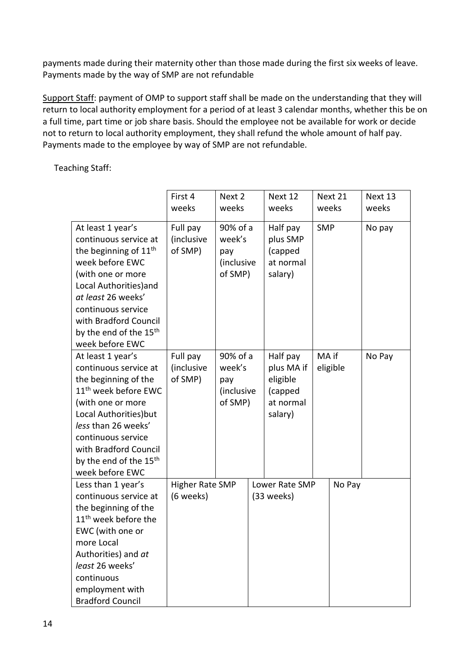payments made during their maternity other than those made during the first six weeks of leave. Payments made by the way of SMP are not refundable

Support Staff: payment of OMP to support staff shall be made on the understanding that they will return to local authority employment for a period of at least 3 calendar months, whether this be on a full time, part time or job share basis. Should the employee not be available for work or decide not to return to local authority employment, they shall refund the whole amount of half pay. Payments made to the employee by way of SMP are not refundable.

Teaching Staff:

|                                                                                                                                                                                                                                                                                      | First 4<br>weeks                    | Next 2<br>weeks                                    | Next 12<br>weeks                                                      |            | Next 21<br>weeks | Next 13<br>weeks |
|--------------------------------------------------------------------------------------------------------------------------------------------------------------------------------------------------------------------------------------------------------------------------------------|-------------------------------------|----------------------------------------------------|-----------------------------------------------------------------------|------------|------------------|------------------|
| At least 1 year's<br>continuous service at<br>the beginning of $11th$<br>week before EWC<br>(with one or more<br>Local Authorities) and<br>at least 26 weeks'<br>continuous service<br>with Bradford Council<br>by the end of the 15 <sup>th</sup><br>week before EWC                | Full pay<br>(inclusive<br>of SMP)   | 90% of a<br>week's<br>pay<br>(inclusive<br>of SMP) | Half pay<br>plus SMP<br>(capped<br>at normal<br>salary)               | <b>SMP</b> |                  | No pay           |
| At least 1 year's<br>continuous service at<br>the beginning of the<br>11 <sup>th</sup> week before EWC<br>(with one or more<br>Local Authorities) but<br>less than 26 weeks'<br>continuous service<br>with Bradford Council<br>by the end of the 15 <sup>th</sup><br>week before EWC | Full pay<br>(inclusive<br>of SMP)   | 90% of a<br>week's<br>pay<br>(inclusive<br>of SMP) | Half pay<br>plus MA if<br>eligible<br>(capped<br>at normal<br>salary) | MA if      | eligible         | No Pay           |
| Less than 1 year's<br>continuous service at<br>the beginning of the<br>11 <sup>th</sup> week before the<br>EWC (with one or<br>more Local<br>Authorities) and at<br>least 26 weeks'<br>continuous<br>employment with<br><b>Bradford Council</b>                                      | <b>Higher Rate SMP</b><br>(6 weeks) |                                                    | Lower Rate SMP<br>(33 weeks)                                          |            | No Pay           |                  |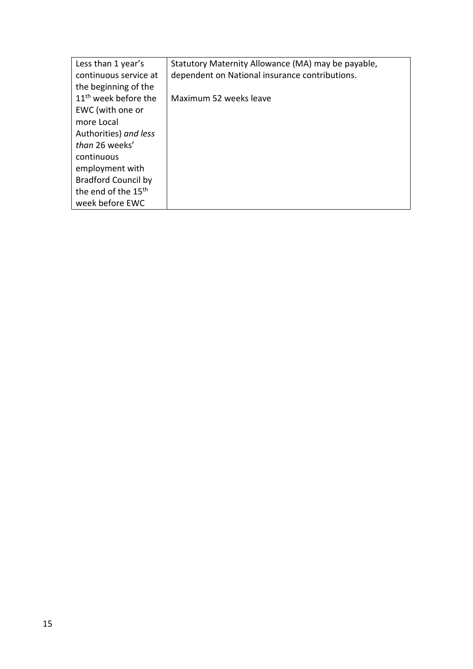| Less than 1 year's               | Statutory Maternity Allowance (MA) may be payable, |
|----------------------------------|----------------------------------------------------|
| continuous service at            | dependent on National insurance contributions.     |
| the beginning of the             |                                                    |
| 11 <sup>th</sup> week before the | Maximum 52 weeks leave                             |
| EWC (with one or                 |                                                    |
| more Local                       |                                                    |
| Authorities) and less            |                                                    |
| than 26 weeks'                   |                                                    |
| continuous                       |                                                    |
| employment with                  |                                                    |
| <b>Bradford Council by</b>       |                                                    |
| the end of the 15 <sup>th</sup>  |                                                    |
| week before EWC                  |                                                    |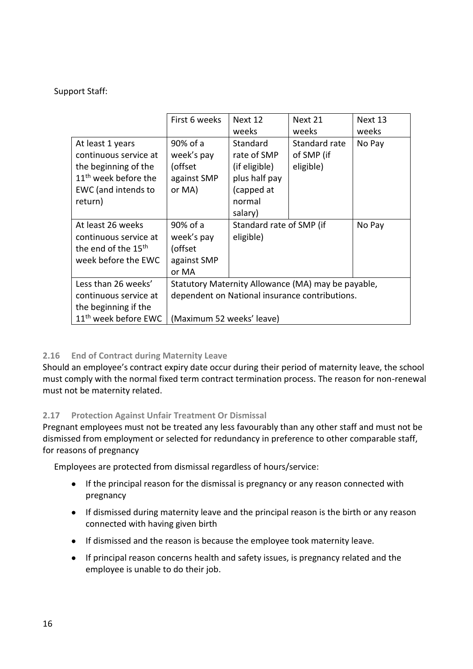Support Staff:

|                                  | First 6 weeks             | Next 12                  | Next 21                                            | Next 13 |
|----------------------------------|---------------------------|--------------------------|----------------------------------------------------|---------|
|                                  |                           | weeks                    | weeks                                              | weeks   |
| At least 1 years                 | 90% of a                  | Standard                 | Standard rate                                      | No Pay  |
| continuous service at            | week's pay                | rate of SMP              | of SMP (if                                         |         |
| the beginning of the             | (offset                   | (if eligible)            | eligible)                                          |         |
| $11th$ week before the           | against SMP               | plus half pay            |                                                    |         |
| EWC (and intends to              | or MA)                    | (capped at               |                                                    |         |
| return)                          |                           | normal                   |                                                    |         |
|                                  |                           | salary)                  |                                                    |         |
| At least 26 weeks                | 90% of a                  | Standard rate of SMP (if |                                                    | No Pay  |
| continuous service at            | week's pay                | eligible)                |                                                    |         |
| the end of the 15 <sup>th</sup>  | (offset                   |                          |                                                    |         |
| week before the EWC              | against SMP               |                          |                                                    |         |
|                                  | or MA                     |                          |                                                    |         |
| Less than 26 weeks'              |                           |                          | Statutory Maternity Allowance (MA) may be payable, |         |
| continuous service at            |                           |                          | dependent on National insurance contributions.     |         |
| the beginning if the             |                           |                          |                                                    |         |
| 11 <sup>th</sup> week before EWC | (Maximum 52 weeks' leave) |                          |                                                    |         |

### <span id="page-15-0"></span>**2.16 End of Contract during Maternity Leave**

Should an employee's contract expiry date occur during their period of maternity leave, the school must comply with the normal fixed term contract termination process. The reason for non-renewal must not be maternity related.

### <span id="page-15-1"></span>**2.17 Protection Against Unfair Treatment Or Dismissal**

Pregnant employees must not be treated any less favourably than any other staff and must not be dismissed from employment or selected for redundancy in preference to other comparable staff, for reasons of pregnancy

Employees are protected from dismissal regardless of hours/service:

- If the principal reason for the dismissal is pregnancy or any reason connected with pregnancy
- If dismissed during maternity leave and the principal reason is the birth or any reason connected with having given birth
- If dismissed and the reason is because the employee took maternity leave.
- If principal reason concerns health and safety issues, is pregnancy related and the employee is unable to do their job.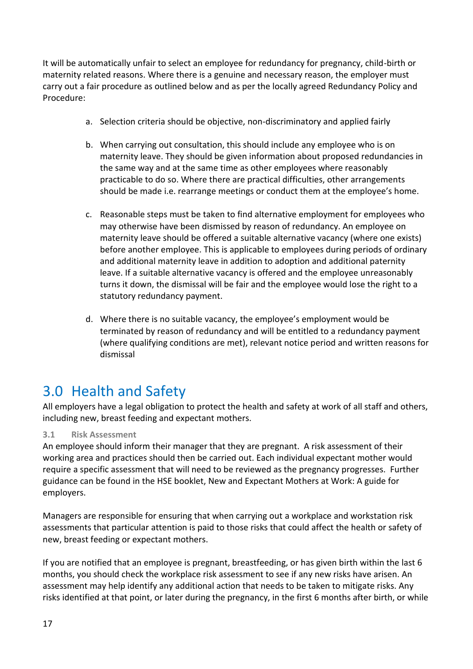It will be automatically unfair to select an employee for redundancy for pregnancy, child-birth or maternity related reasons. Where there is a genuine and necessary reason, the employer must carry out a fair procedure as outlined below and as per the locally agreed Redundancy Policy and Procedure:

- a. Selection criteria should be objective, non-discriminatory and applied fairly
- b. When carrying out consultation, this should include any employee who is on maternity leave. They should be given information about proposed redundancies in the same way and at the same time as other employees where reasonably practicable to do so. Where there are practical difficulties, other arrangements should be made i.e. rearrange meetings or conduct them at the employee's home.
- c. Reasonable steps must be taken to find alternative employment for employees who may otherwise have been dismissed by reason of redundancy. An employee on maternity leave should be offered a suitable alternative vacancy (where one exists) before another employee. This is applicable to employees during periods of ordinary and additional maternity leave in addition to adoption and additional paternity leave. If a suitable alternative vacancy is offered and the employee unreasonably turns it down, the dismissal will be fair and the employee would lose the right to a statutory redundancy payment.
- d. Where there is no suitable vacancy, the employee's employment would be terminated by reason of redundancy and will be entitled to a redundancy payment (where qualifying conditions are met), relevant notice period and written reasons for dismissal

# <span id="page-16-0"></span>3.0 Health and Safety

All employers have a legal obligation to protect the health and safety at work of all staff and others, including new, breast feeding and expectant mothers.

### <span id="page-16-1"></span>**3.1 Risk Assessment**

An employee should inform their manager that they are pregnant. A risk assessment of their working area and practices should then be carried out. Each individual expectant mother would require a specific assessment that will need to be reviewed as the pregnancy progresses. Further guidance can be found in the HSE booklet, New and Expectant Mothers at Work: A guide for employers.

Managers are responsible for ensuring that when carrying out a workplace and workstation risk assessments that particular attention is paid to those risks that could affect the health or safety of new, breast feeding or expectant mothers.

If you are notified that an employee is pregnant, breastfeeding, or has given birth within the last 6 months, you should check the workplace risk assessment to see if any new risks have arisen. An assessment may help identify any additional action that needs to be taken to mitigate risks. Any risks identified at that point, or later during the pregnancy, in the first 6 months after birth, or while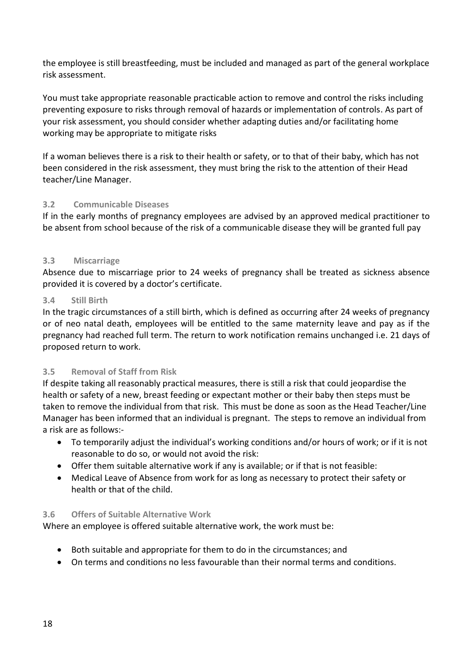the employee is still breastfeeding, must be included and managed as part of the general workplace risk assessment.

You must take appropriate reasonable practicable action to remove and control the risks including preventing exposure to risks through removal of hazards or implementation of controls. As part of your risk assessment, you should consider whether adapting duties and/or facilitating home working may be appropriate to mitigate risks

If a woman believes there is a risk to their health or safety, or to that of their baby, which has not been considered in the risk assessment, they must bring the risk to the attention of their Head teacher/Line Manager.

### <span id="page-17-0"></span>**3.2 Communicable Diseases**

If in the early months of pregnancy employees are advised by an approved medical practitioner to be absent from school because of the risk of a communicable disease they will be granted full pay

### <span id="page-17-1"></span>**3.3 Miscarriage**

Absence due to miscarriage prior to 24 weeks of pregnancy shall be treated as sickness absence provided it is covered by a doctor's certificate.

### <span id="page-17-2"></span>**3.4 Still Birth**

In the tragic circumstances of a still birth, which is defined as occurring after 24 weeks of pregnancy or of neo natal death, employees will be entitled to the same maternity leave and pay as if the pregnancy had reached full term. The return to work notification remains unchanged i.e. 21 days of proposed return to work.

### <span id="page-17-3"></span>**3.5 Removal of Staff from Risk**

If despite taking all reasonably practical measures, there is still a risk that could jeopardise the health or safety of a new, breast feeding or expectant mother or their baby then steps must be taken to remove the individual from that risk. This must be done as soon as the Head Teacher/Line Manager has been informed that an individual is pregnant. The steps to remove an individual from a risk are as follows:-

- To temporarily adjust the individual's working conditions and/or hours of work; or if it is not reasonable to do so, or would not avoid the risk:
- Offer them suitable alternative work if any is available; or if that is not feasible:
- Medical Leave of Absence from work for as long as necessary to protect their safety or health or that of the child.

### <span id="page-17-4"></span>**3.6 Offers of Suitable Alternative Work**

Where an employee is offered suitable alternative work, the work must be:

- Both suitable and appropriate for them to do in the circumstances; and
- On terms and conditions no less favourable than their normal terms and conditions.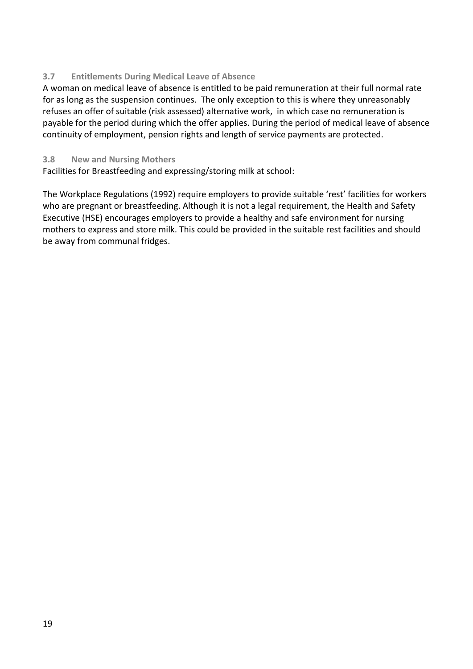### <span id="page-18-0"></span>**3.7 Entitlements During Medical Leave of Absence**

A woman on medical leave of absence is entitled to be paid remuneration at their full normal rate for as long as the suspension continues. The only exception to this is where they unreasonably refuses an offer of suitable (risk assessed) alternative work, in which case no remuneration is payable for the period during which the offer applies. During the period of medical leave of absence continuity of employment, pension rights and length of service payments are protected.

### <span id="page-18-1"></span>**3.8 New and Nursing Mothers**

Facilities for Breastfeeding and expressing/storing milk at school:

The Workplace Regulations (1992) require employers to provide suitable 'rest' facilities for workers who are pregnant or breastfeeding. Although it is not a legal requirement, the Health and Safety Executive (HSE) encourages employers to provide a healthy and safe environment for nursing mothers to express and store milk. This could be provided in the suitable rest facilities and should be away from communal fridges.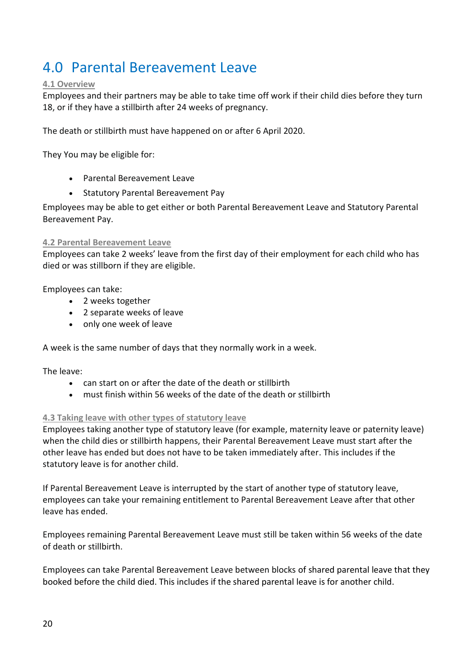# <span id="page-19-0"></span>4.0 Parental Bereavement Leave

### <span id="page-19-1"></span>**4.1 Overview**

Employees and their partners may be able to take time off work if their child dies before they turn 18, or if they have a stillbirth after 24 weeks of pregnancy.

The death or stillbirth must have happened on or after 6 April 2020.

They You may be eligible for:

- Parental Bereavement Leave
- Statutory Parental Bereavement Pay

Employees may be able to get either or both Parental Bereavement Leave and Statutory Parental Bereavement Pay.

### <span id="page-19-2"></span>**4.2 Parental Bereavement Leave**

Employees can take 2 weeks' leave from the first day of their employment for each child who has died or was stillborn if they are eligible.

Employees can take:

- 2 weeks together
- 2 separate weeks of leave
- only one week of leave

A week is the same number of days that they normally work in a week.

The leave:

- can start on or after the date of the death or stillbirth
- must finish within 56 weeks of the date of the death or stillbirth

### <span id="page-19-3"></span>**4.3 Taking leave with other types of statutory leave**

Employees taking another type of statutory leave (for example, maternity leave or paternity leave) when the child dies or stillbirth happens, their Parental Bereavement Leave must start after the other leave has ended but does not have to be taken immediately after. This includes if the statutory leave is for another child.

If Parental Bereavement Leave is interrupted by the start of another type of statutory leave, employees can take your remaining entitlement to Parental Bereavement Leave after that other leave has ended.

Employees remaining Parental Bereavement Leave must still be taken within 56 weeks of the date of death or stillbirth.

Employees can take Parental Bereavement Leave between blocks of shared [parental](https://www.gov.uk/shared-parental-leave-and-pay/booking-blocks-of-leave) leave that they booked before the child died. This includes if the shared parental leave is for another child.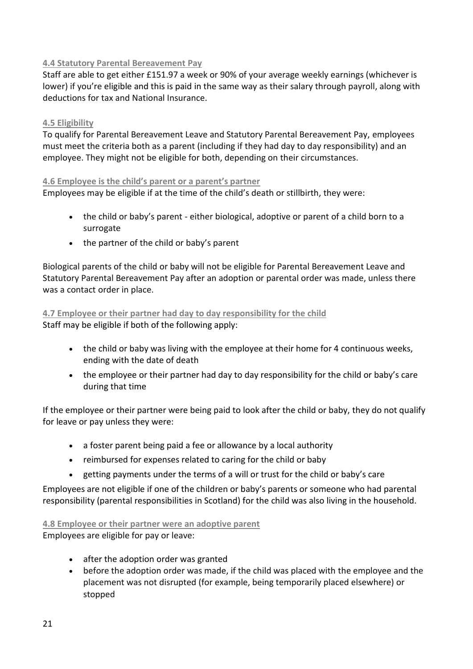### <span id="page-20-0"></span>**4.4 Statutory Parental Bereavement Pay**

Staff are able to get either £151.97 a week or 90% of your average weekly earnings (whichever is lower) if you're [eligible](https://www.gov.uk/parental-bereavement-pay-leave/check-if-youre-eligible) and this is paid in the same way as their salary through payroll, along with deductions for tax and National Insurance.

### <span id="page-20-1"></span>**4.5 Eligibility**

To qualify for Parental Bereavement Leave and Statutory Parental Bereavement Pay, employees must meet the criteria both as a parent (including if they had day to day responsibility) and an employee. They might not be eligible for both, depending on their circumstances.

### <span id="page-20-2"></span>**4.6 Employee is the child's parent or a parent's partner**

Employees may be eligible if at the time of the child's death or stillbirth, they were:

- the child or baby's parent either biological, adoptive or parent of a child born to a surrogate
- the partner of the child or baby's parent

Biological parents of the child or baby will not be eligible for Parental Bereavement Leave and Statutory Parental Bereavement Pay after an adoption or parental order was made, unless there was a contact order in place.

### <span id="page-20-3"></span>**4.7 Employee or their partner had day to day responsibility for the child** Staff may be eligible if both of the following apply:

- the child or baby was living with the employee at their home for 4 continuous weeks, ending with the date of death
- the employee or their partner had day to day responsibility for the child or baby's care during that time

If the employee or their partner were being paid to look after the child or baby, they do not qualify for leave or pay unless they were:

- a foster parent being paid a fee or allowance by a local authority
- reimbursed for expenses related to caring for the child or baby
- getting payments under the terms of a will or trust for the child or baby's care

Employees are not eligible if one of the children or baby's parents or someone who had [parental](https://www.gov.uk/parental-rights-responsibilities) [responsibility](https://www.gov.uk/parental-rights-responsibilities) (parental [responsibilities](https://www.mygov.scot/parental-responsibilities-rights/) in Scotland) for the child was also living in the household.

### <span id="page-20-4"></span>**4.8 Employee or their partner were an adoptive parent** Employees are eligible for pay or leave:

- after the [adoption](https://www.gov.uk/child-adoption/applying-for-an-adoption-court-order) order was granted
- before the adoption order was made, if the child was placed with the employee and the placement was not disrupted (for example, being temporarily placed elsewhere) or stopped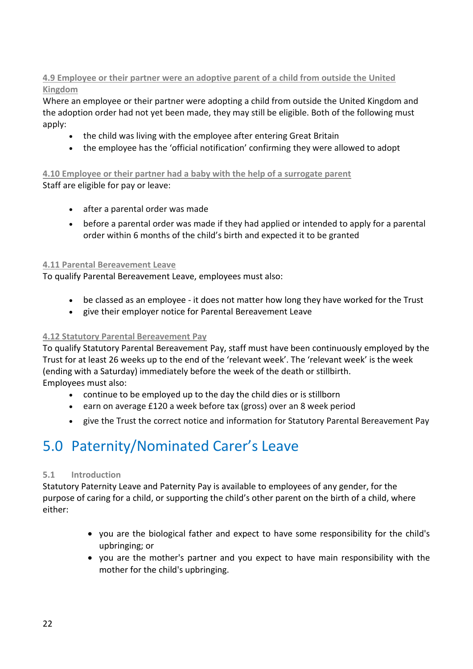### <span id="page-21-0"></span>**4.9 Employee or their partner were an adoptive parent of a child from outside the United Kingdom**

Where an employee or their partner were adopting a child from outside the United Kingdom and the adoption order had not yet been made, they may still be eligible. Both of the following must apply:

- the child was living with the employee after entering Great Britain
- the employee has the 'official notification' confirming they were allowed to adopt

<span id="page-21-1"></span>**4.10 Employee or their partner had a baby with the help of a surrogate parent** Staff are eligible for pay or leave:

- after a parental order was made
- before a parental order was made if they had applied or intended to apply for a parental order within 6 months of the child's birth and expected it to be granted

### <span id="page-21-2"></span>**4.11 Parental Bereavement Leave**

To qualify Parental Bereavement Leave, employees must also:

- be classed as an [employee](https://www.gov.uk/employment-status/employee) it does not matter how long they have worked for the Trust
- give their employer [notice](https://www.gov.uk/parental-bereavement-pay-leave/how-to-claim) for Parental Bereavement Leave

### <span id="page-21-3"></span>**4.12 Statutory Parental Bereavement Pay**

To qualify Statutory Parental Bereavement Pay, staff must have been [continuously](https://www.gov.uk/continuous-employment-what-it-is) employed by the Trust for at least 26 weeks up to the end of the 'relevant week'. The 'relevant week' is the week (ending with a Saturday) immediately before the week of the death or stillbirth. Employees must also:

- continue to be employed up to the day the child dies or is stillborn
- earn on average £120 a week before tax (gross) over an 8 week period
- give the Trust the correct notice and information for Statutory Parental Bereavement Pay

# <span id="page-21-4"></span>5.0 Paternity/Nominated Carer's Leave

### <span id="page-21-5"></span>**5.1 Introduction**

Statutory Paternity Leave and Paternity Pay is available to employees of any gender, for the purpose of caring for a child, or supporting the child's other parent on the birth of a child, where either:

- you are the biological father and expect to have some responsibility for the child's upbringing; or
- you are the mother's partner and you expect to have main responsibility with the mother for the child's upbringing.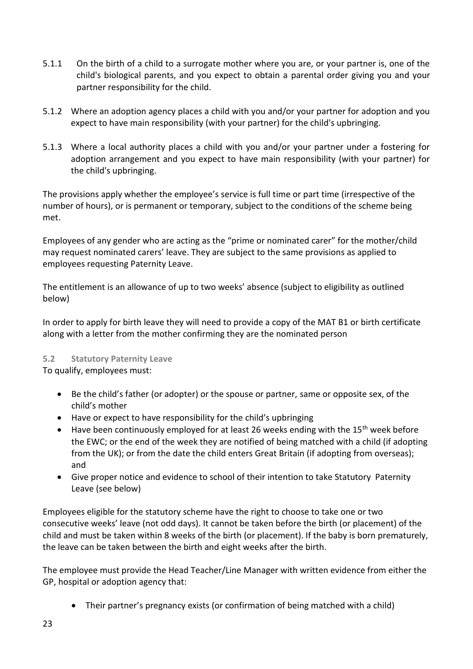- 5.1.1 On the birth of a child to a surrogate mother where you are, or your partner is, one of the child's biological parents, and you expect to obtain a parental order giving you and your partner responsibility for the child.
- 5.1.2 Where an adoption agency places a child with you and/or your partner for adoption and you expect to have main responsibility (with your partner) for the child's upbringing.
- 5.1.3 Where a local authority places a child with you and/or your partner under a fostering for adoption arrangement and you expect to have main responsibility (with your partner) for the child's upbringing.

The provisions apply whether the employee's service is full time or part time (irrespective of the number of hours), or is permanent or temporary, subject to the conditions of the scheme being met.

Employees of any gender who are acting as the "prime or nominated carer" for the mother/child may request nominated carers' leave. They are subject to the same provisions as applied to employees requesting Paternity Leave.

The entitlement is an allowance of up to two weeks' absence (subject to eligibility as outlined below)

In order to apply for birth leave they will need to provide a copy of the MAT B1 or birth certificate along with a letter from the mother confirming they are the nominated person

### <span id="page-22-0"></span>**5.2 Statutory Paternity Leave**

To qualify, employees must:

- Be the child's father (or adopter) or the spouse or partner, same or opposite sex, of the child's mother
- Have or expect to have responsibility for the child's upbringing
- Have been continuously employed for at least 26 weeks ending with the 15<sup>th</sup> week before the EWC; or the end of the week they are notified of being matched with a child (if adopting from the UK); or from the date the child enters Great Britain (if adopting from overseas); and
- Give proper notice and evidence to school of their intention to take Statutory Paternity Leave (see below)

Employees eligible for the statutory scheme have the right to choose to take one or two consecutive weeks' leave (not odd days). It cannot be taken before the birth (or placement) of the child and must be taken within 8 weeks of the birth (or placement). If the baby is born prematurely, the leave can be taken between the birth and eight weeks after the birth.

The employee must provide the Head Teacher/Line Manager with written evidence from either the GP, hospital or adoption agency that:

• Their partner's pregnancy exists (or confirmation of being matched with a child)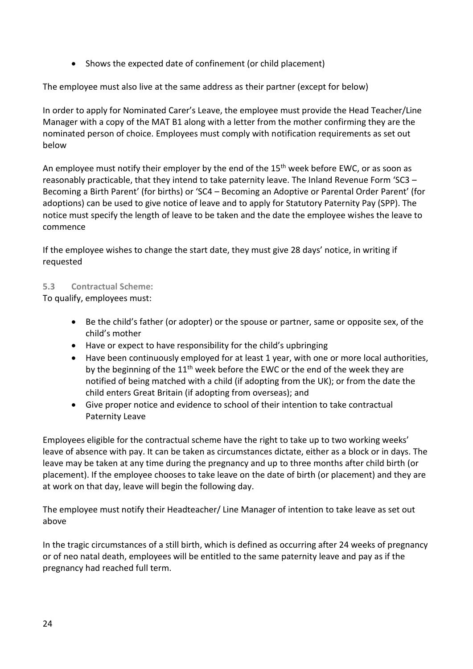• Shows the expected date of confinement (or child placement)

The employee must also live at the same address as their partner (except for below)

In order to apply for Nominated Carer's Leave, the employee must provide the Head Teacher/Line Manager with a copy of the MAT B1 along with a letter from the mother confirming they are the nominated person of choice. Employees must comply with notification requirements as set out below

An employee must notify their employer by the end of the  $15<sup>th</sup>$  week before EWC, or as soon as reasonably practicable, that they intend to take paternity leave. The Inland Revenue Form 'SC3 – Becoming a Birth Parent' (for births) or 'SC4 – Becoming an Adoptive or Parental Order Parent' (for adoptions) can be used to give notice of leave and to apply for Statutory Paternity Pay (SPP). The notice must specify the length of leave to be taken and the date the employee wishes the leave to commence

If the employee wishes to change the start date, they must give 28 days' notice, in writing if requested

### <span id="page-23-0"></span>**5.3 Contractual Scheme:**

To qualify, employees must:

- Be the child's father (or adopter) or the spouse or partner, same or opposite sex, of the child's mother
- Have or expect to have responsibility for the child's upbringing
- Have been continuously employed for at least 1 year, with one or more local authorities, by the beginning of the  $11<sup>th</sup>$  week before the EWC or the end of the week they are notified of being matched with a child (if adopting from the UK); or from the date the child enters Great Britain (if adopting from overseas); and
- Give proper notice and evidence to school of their intention to take contractual Paternity Leave

Employees eligible for the contractual scheme have the right to take up to two working weeks' leave of absence with pay. It can be taken as circumstances dictate, either as a block or in days. The leave may be taken at any time during the pregnancy and up to three months after child birth (or placement). If the employee chooses to take leave on the date of birth (or placement) and they are at work on that day, leave will begin the following day.

The employee must notify their Headteacher/ Line Manager of intention to take leave as set out above

In the tragic circumstances of a still birth, which is defined as occurring after 24 weeks of pregnancy or of neo natal death, employees will be entitled to the same paternity leave and pay as if the pregnancy had reached full term.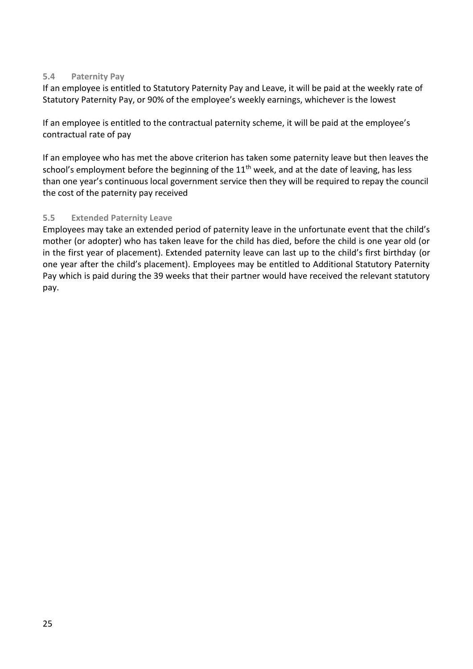### <span id="page-24-0"></span>**5.4 Paternity Pay**

If an employee is entitled to Statutory Paternity Pay and Leave, it will be paid at the weekly rate of Statutory Paternity Pay, or 90% of the employee's weekly earnings, whichever is the lowest

If an employee is entitled to the contractual paternity scheme, it will be paid at the employee's contractual rate of pay

If an employee who has met the above criterion has taken some paternity leave but then leaves the school's employment before the beginning of the 11<sup>th</sup> week, and at the date of leaving, has less than one year's continuous local government service then they will be required to repay the council the cost of the paternity pay received

### <span id="page-24-1"></span>**5.5 Extended Paternity Leave**

Employees may take an extended period of paternity leave in the unfortunate event that the child's mother (or adopter) who has taken leave for the child has died, before the child is one year old (or in the first year of placement). Extended paternity leave can last up to the child's first birthday (or one year after the child's placement). Employees may be entitled to Additional Statutory Paternity Pay which is paid during the 39 weeks that their partner would have received the relevant statutory pay.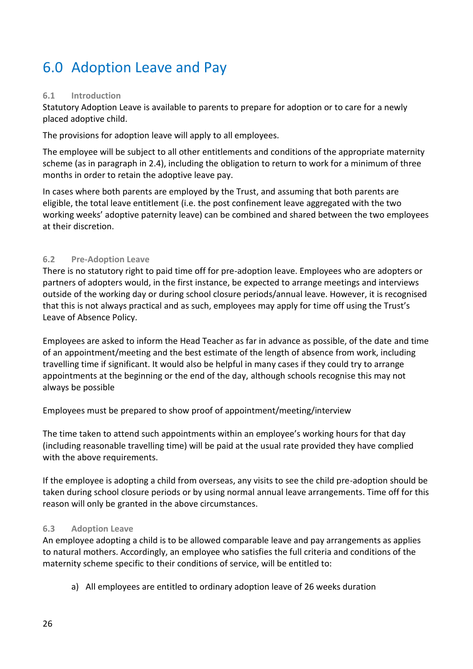# <span id="page-25-0"></span>6.0 Adoption Leave and Pay

### <span id="page-25-1"></span>**6.1 Introduction**

Statutory Adoption Leave is available to parents to prepare for adoption or to care for a newly placed adoptive child.

The provisions for adoption leave will apply to all employees.

The employee will be subject to all other entitlements and conditions of the appropriate maternity scheme (as in paragraph in 2.4), including the obligation to return to work for a minimum of three months in order to retain the adoptive leave pay.

In cases where both parents are employed by the Trust, and assuming that both parents are eligible, the total leave entitlement (i.e. the post confinement leave aggregated with the two working weeks' adoptive paternity leave) can be combined and shared between the two employees at their discretion.

### <span id="page-25-2"></span>**6.2 Pre-Adoption Leave**

There is no statutory right to paid time off for pre-adoption leave. Employees who are adopters or partners of adopters would, in the first instance, be expected to arrange meetings and interviews outside of the working day or during school closure periods/annual leave. However, it is recognised that this is not always practical and as such, employees may apply for time off using the Trust's Leave of Absence Policy.

Employees are asked to inform the Head Teacher as far in advance as possible, of the date and time of an appointment/meeting and the best estimate of the length of absence from work, including travelling time if significant. It would also be helpful in many cases if they could try to arrange appointments at the beginning or the end of the day, although schools recognise this may not always be possible

Employees must be prepared to show proof of appointment/meeting/interview

The time taken to attend such appointments within an employee's working hours for that day (including reasonable travelling time) will be paid at the usual rate provided they have complied with the above requirements.

If the employee is adopting a child from overseas, any visits to see the child pre-adoption should be taken during school closure periods or by using normal annual leave arrangements. Time off for this reason will only be granted in the above circumstances.

### <span id="page-25-3"></span>**6.3 Adoption Leave**

An employee adopting a child is to be allowed comparable leave and pay arrangements as applies to natural mothers. Accordingly, an employee who satisfies the full criteria and conditions of the maternity scheme specific to their conditions of service, will be entitled to:

a) All employees are entitled to ordinary adoption leave of 26 weeks duration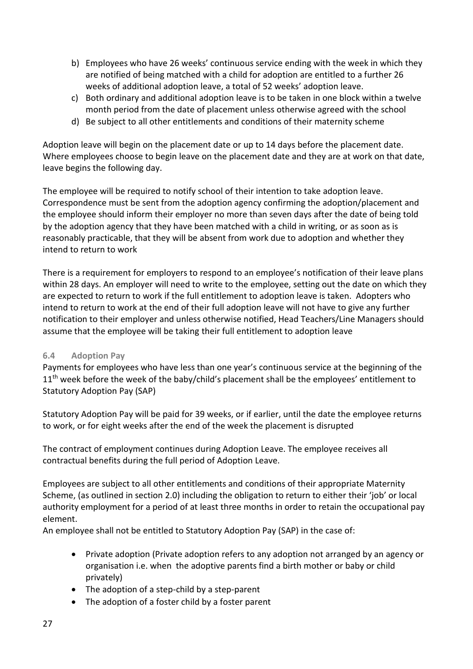- b) Employees who have 26 weeks' continuous service ending with the week in which they are notified of being matched with a child for adoption are entitled to a further 26 weeks of additional adoption leave, a total of 52 weeks' adoption leave.
- c) Both ordinary and additional adoption leave is to be taken in one block within a twelve month period from the date of placement unless otherwise agreed with the school
- d) Be subject to all other entitlements and conditions of their maternity scheme

Adoption leave will begin on the placement date or up to 14 days before the placement date. Where employees choose to begin leave on the placement date and they are at work on that date, leave begins the following day.

The employee will be required to notify school of their intention to take adoption leave. Correspondence must be sent from the adoption agency confirming the adoption/placement and the employee should inform their employer no more than seven days after the date of being told by the adoption agency that they have been matched with a child in writing, or as soon as is reasonably practicable, that they will be absent from work due to adoption and whether they intend to return to work

There is a requirement for employers to respond to an employee's notification of their leave plans within 28 days. An employer will need to write to the employee, setting out the date on which they are expected to return to work if the full entitlement to adoption leave is taken. Adopters who intend to return to work at the end of their full adoption leave will not have to give any further notification to their employer and unless otherwise notified, Head Teachers/Line Managers should assume that the employee will be taking their full entitlement to adoption leave

### <span id="page-26-0"></span>**6.4 Adoption Pay**

Payments for employees who have less than one year's continuous service at the beginning of the 11<sup>th</sup> week before the week of the baby/child's placement shall be the employees' entitlement to Statutory Adoption Pay (SAP)

Statutory Adoption Pay will be paid for 39 weeks, or if earlier, until the date the employee returns to work, or for eight weeks after the end of the week the placement is disrupted

The contract of employment continues during Adoption Leave. The employee receives all contractual benefits during the full period of Adoption Leave.

Employees are subject to all other entitlements and conditions of their appropriate Maternity Scheme, (as outlined in section 2.0) including the obligation to return to either their 'job' or local authority employment for a period of at least three months in order to retain the occupational pay element.

An employee shall not be entitled to Statutory Adoption Pay (SAP) in the case of:

- Private adoption (Private adoption refers to any adoption not arranged by an agency or organisation i.e. when the adoptive parents find a birth mother or baby or child privately)
- The adoption of a step-child by a step-parent
- The adoption of a foster child by a foster parent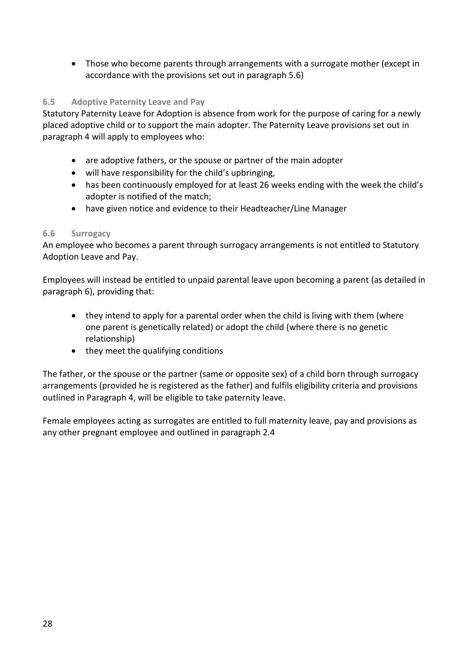• Those who become parents through arrangements with a surrogate mother (except in accordance with the provisions set out in paragraph 5.6)

### <span id="page-27-0"></span>**6.5 Adoptive Paternity Leave and Pay**

Statutory Paternity Leave for Adoption is absence from work for the purpose of caring for a newly placed adoptive child or to support the main adopter. The Paternity Leave provisions set out in paragraph 4 will apply to employees who:

- are adoptive fathers, or the spouse or partner of the main adopter
- will have responsibility for the child's upbringing,
- has been continuously employed for at least 26 weeks ending with the week the child's adopter is notified of the match;
- have given notice and evidence to their Headteacher/Line Manager

### <span id="page-27-1"></span>**6.6 Surrogacy**

An employee who becomes a parent through surrogacy arrangements is not entitled to Statutory Adoption Leave and Pay.

Employees will instead be entitled to unpaid parental leave upon becoming a parent (as detailed in paragraph 6), providing that:

- they intend to apply for a parental order when the child is living with them (where one parent is genetically related) or adopt the child (where there is no genetic relationship)
- they meet the qualifying conditions

The father, or the spouse or the partner (same or opposite sex) of a child born through surrogacy arrangements (provided he is registered as the father) and fulfils eligibility criteria and provisions outlined in Paragraph 4, will be eligible to take paternity leave.

Female employees acting as surrogates are entitled to full maternity leave, pay and provisions as any other pregnant employee and outlined in paragraph 2.4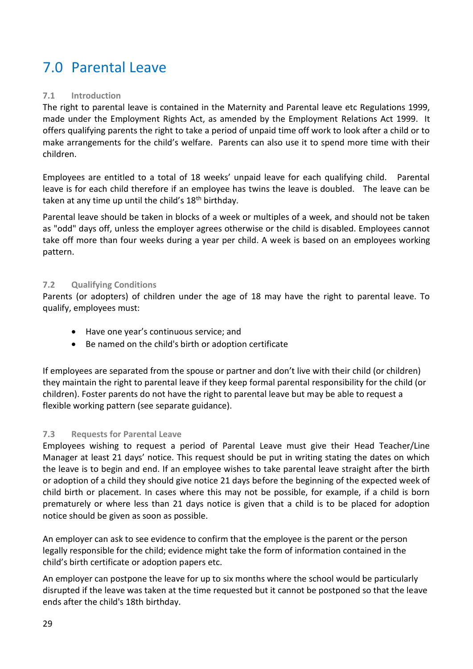# <span id="page-28-0"></span>7.0 Parental Leave

### <span id="page-28-1"></span>**7.1 Introduction**

The right to parental leave is contained in the Maternity and Parental leave etc Regulations 1999, made under the Employment Rights Act, as amended by the Employment Relations Act 1999. It offers qualifying parents the right to take a period of unpaid time off work to look after a child or to make arrangements for the child's welfare. Parents can also use it to spend more time with their children.

Employees are entitled to a total of 18 weeks' unpaid leave for each qualifying child. Parental leave is for each child therefore if an employee has twins the leave is doubled. The leave can be taken at any time up until the child's  $18<sup>th</sup>$  birthday.

Parental leave should be taken in blocks of a week or multiples of a week, and should not be taken as "odd" days off, unless the employer agrees otherwise or the child is disabled. Employees cannot take off more than four weeks during a year per child. A week is based on an employees working pattern.

### <span id="page-28-2"></span>**7.2 Qualifying Conditions**

Parents (or adopters) of children under the age of 18 may have the right to parental leave. To qualify, employees must:

- Have one year's continuous service; and
- Be named on the child's birth or adoption certificate

If employees are separated from the spouse or partner and don't live with their child (or children) they maintain the right to parental leave if they keep formal parental responsibility for the child (or children). Foster parents do not have the right to parental leave but may be able to request a flexible working pattern (see separate guidance).

### <span id="page-28-3"></span>**7.3 Requests for Parental Leave**

Employees wishing to request a period of Parental Leave must give their Head Teacher/Line Manager at least 21 days' notice. This request should be put in writing stating the dates on which the leave is to begin and end. If an employee wishes to take parental leave straight after the birth or adoption of a child they should give notice 21 days before the beginning of the expected week of child birth or placement. In cases where this may not be possible, for example, if a child is born prematurely or where less than 21 days notice is given that a child is to be placed for adoption notice should be given as soon as possible.

An employer can ask to see evidence to confirm that the employee is the parent or the person legally responsible for the child; evidence might take the form of information contained in the child's birth certificate or adoption papers etc.

An employer can postpone the leave for up to six months where the school would be particularly disrupted if the leave was taken at the time requested but it cannot be postponed so that the leave ends after the child's 18th birthday.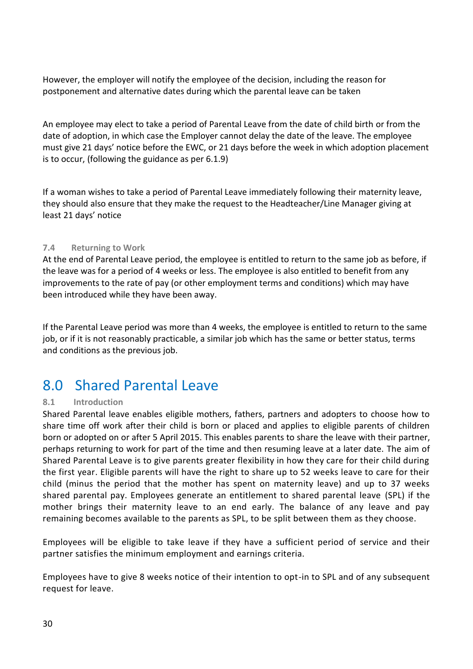However, the employer will notify the employee of the decision, including the reason for postponement and alternative dates during which the parental leave can be taken

An employee may elect to take a period of Parental Leave from the date of child birth or from the date of adoption, in which case the Employer cannot delay the date of the leave. The employee must give 21 days' notice before the EWC, or 21 days before the week in which adoption placement is to occur, (following the guidance as per 6.1.9)

If a woman wishes to take a period of Parental Leave immediately following their maternity leave, they should also ensure that they make the request to the Headteacher/Line Manager giving at least 21 days' notice

### <span id="page-29-0"></span>**7.4 Returning to Work**

At the end of Parental Leave period, the employee is entitled to return to the same job as before, if the leave was for a period of 4 weeks or less. The employee is also entitled to benefit from any improvements to the rate of pay (or other employment terms and conditions) which may have been introduced while they have been away.

If the Parental Leave period was more than 4 weeks, the employee is entitled to return to the same job, or if it is not reasonably practicable, a similar job which has the same or better status, terms and conditions as the previous job.

### <span id="page-29-1"></span>8.0 Shared Parental Leave

### <span id="page-29-2"></span>**8.1 Introduction**

Shared Parental leave enables eligible mothers, fathers, partners and adopters to choose how to share time off work after their child is born or placed and applies to eligible parents of children born or adopted on or after 5 April 2015. This enables parents to share the leave with their partner, perhaps returning to work for part of the time and then resuming leave at a later date. The aim of Shared Parental Leave is to give parents greater flexibility in how they care for their child during the first year. Eligible parents will have the right to share up to 52 weeks leave to care for their child (minus the period that the mother has spent on maternity leave) and up to 37 weeks shared parental pay. Employees generate an entitlement to shared parental leave (SPL) if the mother brings their maternity leave to an end early. The balance of any leave and pay remaining becomes available to the parents as SPL, to be split between them as they choose.

Employees will be eligible to take leave if they have a sufficient period of service and their partner satisfies the minimum employment and earnings criteria.

Employees have to give 8 weeks notice of their intention to opt-in to SPL and of any subsequent request for leave.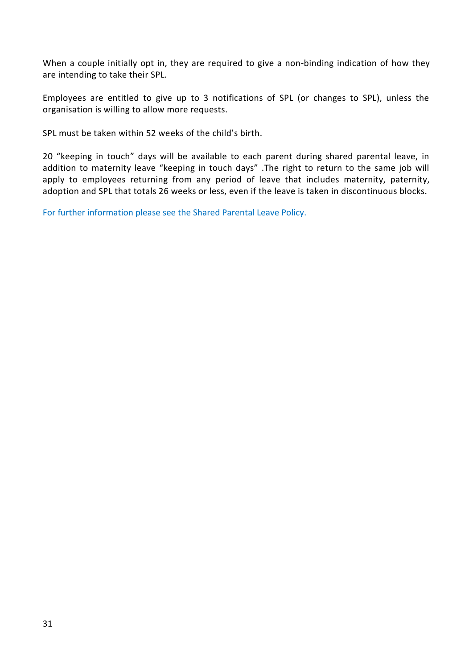When a couple initially opt in, they are required to give a non-binding indication of how they are intending to take their SPL.

Employees are entitled to give up to 3 notifications of SPL (or changes to SPL), unless the organisation is willing to allow more requests.

SPL must be taken within 52 weeks of the child's birth.

20 "keeping in touch" days will be available to each parent during shared parental leave, in addition to maternity leave "keeping in touch days" .The right to return to the same job will apply to employees returning from any period of leave that includes maternity, paternity, adoption and SPL that totals 26 weeks or less, even if the leave is taken in discontinuous blocks.

<span id="page-30-0"></span>For further information please see the Shared Parental Leave Policy.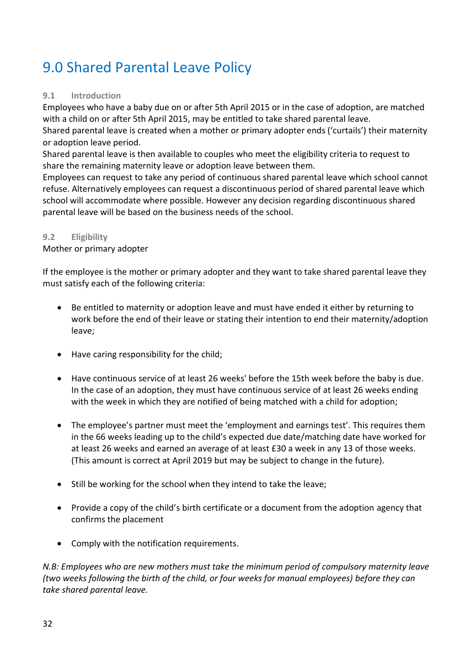# <span id="page-31-0"></span>9.0 Shared Parental Leave Policy

### <span id="page-31-1"></span>**9.1 Introduction**

Employees who have a baby due on or after 5th April 2015 or in the case of adoption, are matched with a child on or after 5th April 2015, may be entitled to take shared parental leave.

Shared parental leave is created when a mother or primary adopter ends ('curtails') their maternity or adoption leave period.

Shared parental leave is then available to couples who meet the eligibility criteria to request to share the remaining maternity leave or adoption leave between them.

Employees can request to take any period of continuous shared parental leave which school cannot refuse. Alternatively employees can request a discontinuous period of shared parental leave which school will accommodate where possible. However any decision regarding discontinuous shared parental leave will be based on the business needs of the school.

### <span id="page-31-2"></span>**9.2 Eligibility**

Mother or primary adopter

If the employee is the mother or primary adopter and they want to take shared parental leave they must satisfy each of the following criteria:

- Be entitled to maternity or adoption leave and must have ended it either by returning to work before the end of their leave or stating their intention to end their maternity/adoption leave;
- Have caring responsibility for the child;
- Have continuous service of at least 26 weeks' before the 15th week before the baby is due. In the case of an adoption, they must have continuous service of at least 26 weeks ending with the week in which they are notified of being matched with a child for adoption;
- The employee's partner must meet the 'employment and earnings test'. This requires them in the 66 weeks leading up to the child's expected due date/matching date have worked for at least 26 weeks and earned an average of at least £30 a week in any 13 of those weeks. (This amount is correct at April 2019 but may be subject to change in the future).
- Still be working for the school when they intend to take the leave;
- Provide a copy of the child's birth certificate or a document from the adoption agency that confirms the placement
- Comply with the notification requirements.

*N.B: Employees who are new mothers must take the minimum period of compulsory maternity leave (two weeks following the birth of the child, or four weeks for manual employees) before they can take shared parental leave.*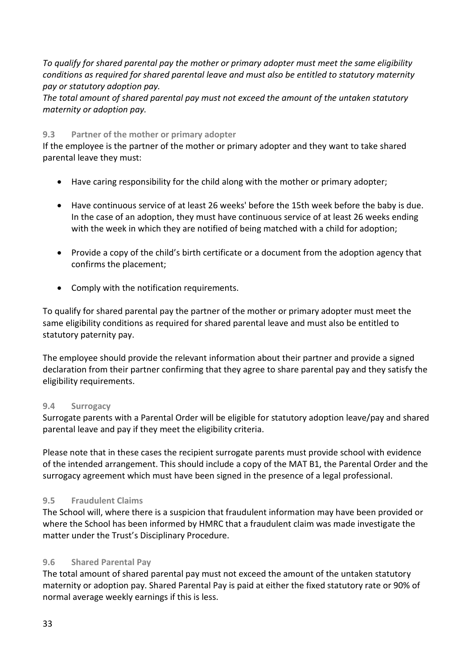*To qualify for shared parental pay the mother or primary adopter must meet the same eligibility conditions as required for shared parental leave and must also be entitled to statutory maternity pay or statutory adoption pay.*

*The total amount of shared parental pay must not exceed the amount of the untaken statutory maternity or adoption pay.* 

### <span id="page-32-0"></span>**9.3 Partner of the mother or primary adopter**

If the employee is the partner of the mother or primary adopter and they want to take shared parental leave they must:

- Have caring responsibility for the child along with the mother or primary adopter;
- Have continuous service of at least 26 weeks' before the 15th week before the baby is due. In the case of an adoption, they must have continuous service of at least 26 weeks ending with the week in which they are notified of being matched with a child for adoption;
- Provide a copy of the child's birth certificate or a document from the adoption agency that confirms the placement;
- Comply with the notification requirements.

To qualify for shared parental pay the partner of the mother or primary adopter must meet the same eligibility conditions as required for shared parental leave and must also be entitled to statutory paternity pay.

The employee should provide the relevant information about their partner and provide a signed declaration from their partner confirming that they agree to share parental pay and they satisfy the eligibility requirements.

### <span id="page-32-1"></span>**9.4 Surrogacy**

Surrogate parents with a Parental Order will be eligible for statutory adoption leave/pay and shared parental leave and pay if they meet the eligibility criteria.

Please note that in these cases the recipient surrogate parents must provide school with evidence of the intended arrangement. This should include a copy of the MAT B1, the Parental Order and the surrogacy agreement which must have been signed in the presence of a legal professional.

### <span id="page-32-2"></span>**9.5 Fraudulent Claims**

The School will, where there is a suspicion that fraudulent information may have been provided or where the School has been informed by HMRC that a fraudulent claim was made investigate the matter under the Trust's Disciplinary Procedure.

### <span id="page-32-3"></span>**9.6 Shared Parental Pay**

The total amount of shared parental pay must not exceed the amount of the untaken statutory maternity or adoption pay. Shared Parental Pay is paid at either the fixed statutory rate or 90% of normal average weekly earnings if this is less.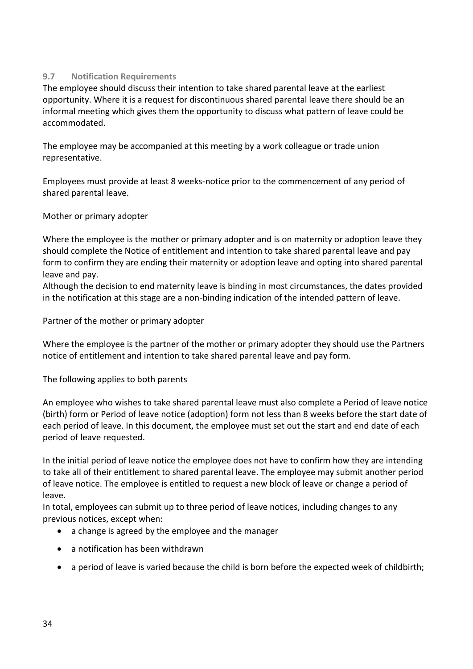### <span id="page-33-0"></span>**9.7 Notification Requirements**

The employee should discuss their intention to take shared parental leave at the earliest opportunity. Where it is a request for discontinuous shared parental leave there should be an informal meeting which gives them the opportunity to discuss what pattern of leave could be accommodated.

The employee may be accompanied at this meeting by a work colleague or trade union representative.

Employees must provide at least 8 weeks-notice prior to the commencement of any period of shared parental leave.

### Mother or primary adopter

Where the employee is the mother or primary adopter and is on maternity or adoption leave they should complete the Notice of entitlement and intention to take shared parental leave and pay form to confirm they are ending their maternity or adoption leave and opting into shared parental leave and pay.

Although the decision to end maternity leave is binding in most circumstances, the dates provided in the notification at this stage are a non-binding indication of the intended pattern of leave.

Partner of the mother or primary adopter

Where the employee is the partner of the mother or primary adopter they should use the Partners notice of entitlement and intention to take shared parental leave and pay form.

The following applies to both parents

An employee who wishes to take shared parental leave must also complete a Period of leave notice (birth) form or Period of leave notice (adoption) form not less than 8 weeks before the start date of each period of leave. In this document, the employee must set out the start and end date of each period of leave requested.

In the initial period of leave notice the employee does not have to confirm how they are intending to take all of their entitlement to shared parental leave. The employee may submit another period of leave notice. The employee is entitled to request a new block of leave or change a period of leave.

In total, employees can submit up to three period of leave notices, including changes to any previous notices, except when:

- a change is agreed by the employee and the manager
- a notification has been withdrawn
- a period of leave is varied because the child is born before the expected week of childbirth;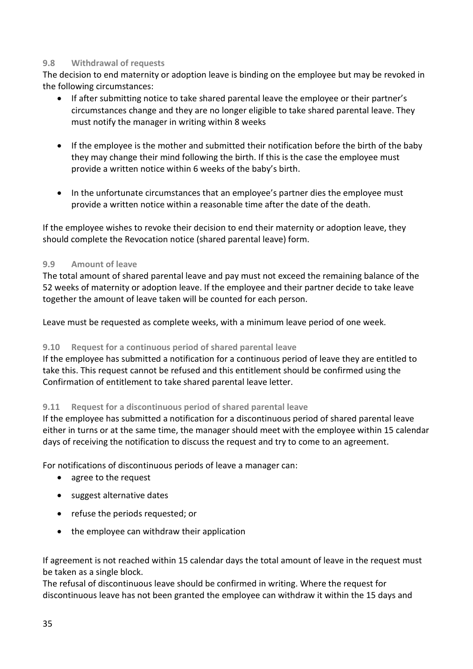### <span id="page-34-0"></span>**9.8 Withdrawal of requests**

The decision to end maternity or adoption leave is binding on the employee but may be revoked in the following circumstances:

- If after submitting notice to take shared parental leave the employee or their partner's circumstances change and they are no longer eligible to take shared parental leave. They must notify the manager in writing within 8 weeks
- If the employee is the mother and submitted their notification before the birth of the baby they may change their mind following the birth. If this is the case the employee must provide a written notice within 6 weeks of the baby's birth.
- In the unfortunate circumstances that an employee's partner dies the employee must provide a written notice within a reasonable time after the date of the death.

If the employee wishes to revoke their decision to end their maternity or adoption leave, they should complete the Revocation notice (shared parental leave) form.

### <span id="page-34-1"></span>**9.9 Amount of leave**

The total amount of shared parental leave and pay must not exceed the remaining balance of the 52 weeks of maternity or adoption leave. If the employee and their partner decide to take leave together the amount of leave taken will be counted for each person.

Leave must be requested as complete weeks, with a minimum leave period of one week.

### <span id="page-34-2"></span>**9.10 Request for a continuous period of shared parental leave**

If the employee has submitted a notification for a continuous period of leave they are entitled to take this. This request cannot be refused and this entitlement should be confirmed using the Confirmation of entitlement to take shared parental leave letter.

### <span id="page-34-3"></span>**9.11 Request for a discontinuous period of shared parental leave**

If the employee has submitted a notification for a discontinuous period of shared parental leave either in turns or at the same time, the manager should meet with the employee within 15 calendar days of receiving the notification to discuss the request and try to come to an agreement.

For notifications of discontinuous periods of leave a manager can:

- agree to the request
- suggest alternative dates
- refuse the periods requested; or
- the employee can withdraw their application

If agreement is not reached within 15 calendar days the total amount of leave in the request must be taken as a single block.

The refusal of discontinuous leave should be confirmed in writing. Where the request for discontinuous leave has not been granted the employee can withdraw it within the 15 days and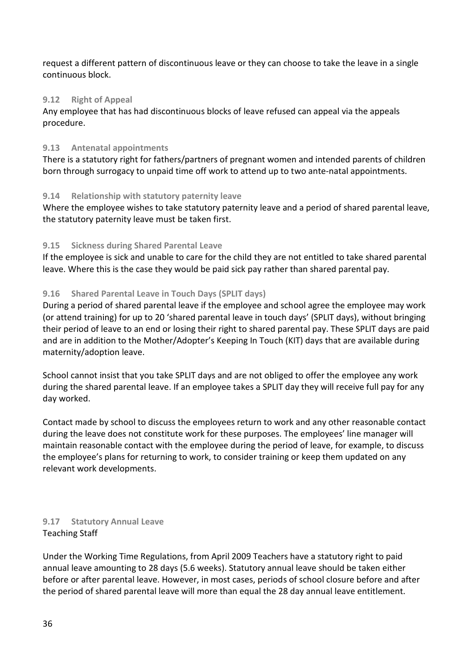request a different pattern of discontinuous leave or they can choose to take the leave in a single continuous block.

### <span id="page-35-0"></span>**9.12 Right of Appeal**

Any employee that has had discontinuous blocks of leave refused can appeal via the appeals procedure.

### <span id="page-35-1"></span>**9.13 Antenatal appointments**

There is a statutory right for fathers/partners of pregnant women and intended parents of children born through surrogacy to unpaid time off work to attend up to two ante-natal appointments.

### <span id="page-35-2"></span>**9.14 Relationship with statutory paternity leave**

Where the employee wishes to take statutory paternity leave and a period of shared parental leave, the statutory paternity leave must be taken first.

### <span id="page-35-3"></span>**9.15 Sickness during Shared Parental Leave**

If the employee is sick and unable to care for the child they are not entitled to take shared parental leave. Where this is the case they would be paid sick pay rather than shared parental pay.

### <span id="page-35-4"></span>**9.16 Shared Parental Leave in Touch Days (SPLIT days)**

During a period of shared parental leave if the employee and school agree the employee may work (or attend training) for up to 20 'shared parental leave in touch days' (SPLIT days), without bringing their period of leave to an end or losing their right to shared parental pay. These SPLIT days are paid and are in addition to the Mother/Adopter's Keeping In Touch (KIT) days that are available during maternity/adoption leave.

School cannot insist that you take SPLIT days and are not obliged to offer the employee any work during the shared parental leave. If an employee takes a SPLIT day they will receive full pay for any day worked.

Contact made by school to discuss the employees return to work and any other reasonable contact during the leave does not constitute work for these purposes. The employees' line manager will maintain reasonable contact with the employee during the period of leave, for example, to discuss the employee's plans for returning to work, to consider training or keep them updated on any relevant work developments.

### <span id="page-35-5"></span>**9.17 Statutory Annual Leave** Teaching Staff

Under the Working Time Regulations, from April 2009 Teachers have a statutory right to paid annual leave amounting to 28 days (5.6 weeks). Statutory annual leave should be taken either before or after parental leave. However, in most cases, periods of school closure before and after the period of shared parental leave will more than equal the 28 day annual leave entitlement.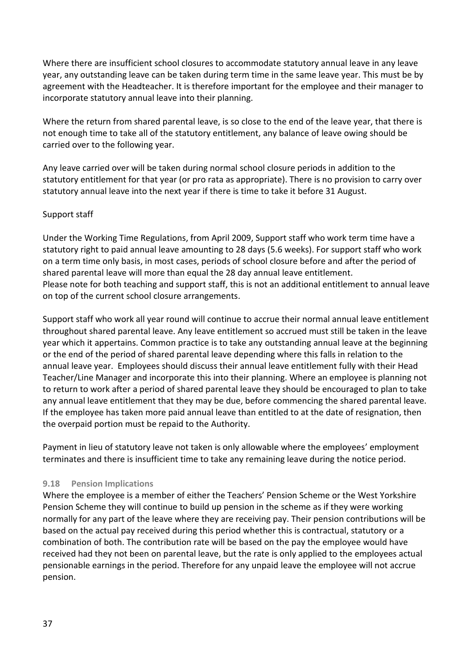Where there are insufficient school closures to accommodate statutory annual leave in any leave year, any outstanding leave can be taken during term time in the same leave year. This must be by agreement with the Headteacher. It is therefore important for the employee and their manager to incorporate statutory annual leave into their planning.

Where the return from shared parental leave, is so close to the end of the leave year, that there is not enough time to take all of the statutory entitlement, any balance of leave owing should be carried over to the following year.

Any leave carried over will be taken during normal school closure periods in addition to the statutory entitlement for that year (or pro rata as appropriate). There is no provision to carry over statutory annual leave into the next year if there is time to take it before 31 August.

### Support staff

Under the Working Time Regulations, from April 2009, Support staff who work term time have a statutory right to paid annual leave amounting to 28 days (5.6 weeks). For support staff who work on a term time only basis, in most cases, periods of school closure before and after the period of shared parental leave will more than equal the 28 day annual leave entitlement. Please note for both teaching and support staff, this is not an additional entitlement to annual leave on top of the current school closure arrangements.

Support staff who work all year round will continue to accrue their normal annual leave entitlement throughout shared parental leave. Any leave entitlement so accrued must still be taken in the leave year which it appertains. Common practice is to take any outstanding annual leave at the beginning or the end of the period of shared parental leave depending where this falls in relation to the annual leave year. Employees should discuss their annual leave entitlement fully with their Head Teacher/Line Manager and incorporate this into their planning. Where an employee is planning not to return to work after a period of shared parental leave they should be encouraged to plan to take any annual leave entitlement that they may be due, before commencing the shared parental leave. If the employee has taken more paid annual leave than entitled to at the date of resignation, then the overpaid portion must be repaid to the Authority.

Payment in lieu of statutory leave not taken is only allowable where the employees' employment terminates and there is insufficient time to take any remaining leave during the notice period.

### <span id="page-36-0"></span>**9.18 Pension Implications**

Where the employee is a member of either the Teachers' Pension Scheme or the West Yorkshire Pension Scheme they will continue to build up pension in the scheme as if they were working normally for any part of the leave where they are receiving pay. Their pension contributions will be based on the actual pay received during this period whether this is contractual, statutory or a combination of both. The contribution rate will be based on the pay the employee would have received had they not been on parental leave, but the rate is only applied to the employees actual pensionable earnings in the period. Therefore for any unpaid leave the employee will not accrue pension.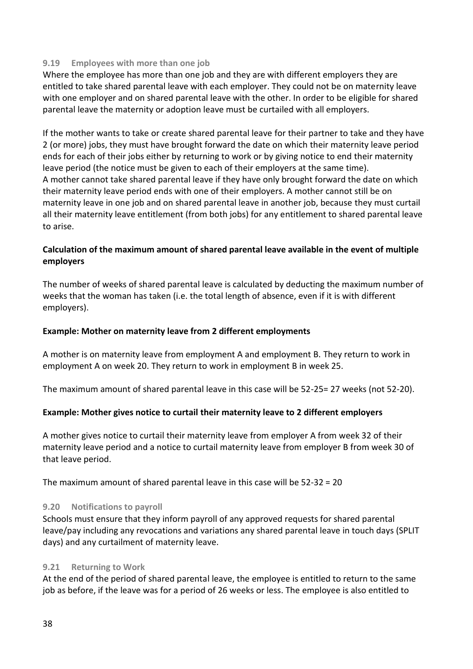### <span id="page-37-0"></span>**9.19 Employees with more than one job**

Where the employee has more than one job and they are with different employers they are entitled to take shared parental leave with each employer. They could not be on maternity leave with one employer and on shared parental leave with the other. In order to be eligible for shared parental leave the maternity or adoption leave must be curtailed with all employers.

If the mother wants to take or create shared parental leave for their partner to take and they have 2 (or more) jobs, they must have brought forward the date on which their maternity leave period ends for each of their jobs either by returning to work or by giving notice to end their maternity leave period (the notice must be given to each of their employers at the same time). A mother cannot take shared parental leave if they have only brought forward the date on which their maternity leave period ends with one of their employers. A mother cannot still be on maternity leave in one job and on shared parental leave in another job, because they must curtail all their maternity leave entitlement (from both jobs) for any entitlement to shared parental leave to arise.

### **Calculation of the maximum amount of shared parental leave available in the event of multiple employers**

The number of weeks of shared parental leave is calculated by deducting the maximum number of weeks that the woman has taken (i.e. the total length of absence, even if it is with different employers).

### **Example: Mother on maternity leave from 2 different employments**

A mother is on maternity leave from employment A and employment B. They return to work in employment A on week 20. They return to work in employment B in week 25.

The maximum amount of shared parental leave in this case will be 52-25= 27 weeks (not 52-20).

### **Example: Mother gives notice to curtail their maternity leave to 2 different employers**

A mother gives notice to curtail their maternity leave from employer A from week 32 of their maternity leave period and a notice to curtail maternity leave from employer B from week 30 of that leave period.

The maximum amount of shared parental leave in this case will be 52-32 = 20

### <span id="page-37-1"></span>**9.20 Notifications to payroll**

Schools must ensure that they inform payroll of any approved requests for shared parental leave/pay including any revocations and variations any shared parental leave in touch days (SPLIT days) and any curtailment of maternity leave.

### <span id="page-37-2"></span>**9.21 Returning to Work**

At the end of the period of shared parental leave, the employee is entitled to return to the same job as before, if the leave was for a period of 26 weeks or less. The employee is also entitled to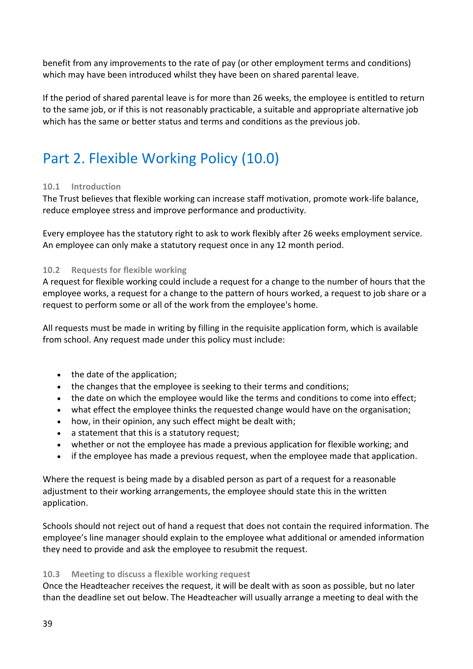benefit from any improvements to the rate of pay (or other employment terms and conditions) which may have been introduced whilst they have been on shared parental leave.

If the period of shared parental leave is for more than 26 weeks, the employee is entitled to return to the same job, or if this is not reasonably practicable, a suitable and appropriate alternative job which has the same or better status and terms and conditions as the previous job.

# <span id="page-38-0"></span>Part 2. Flexible Working Policy (10.0)

### <span id="page-38-1"></span>**10.1 Introduction**

The Trust believes that flexible working can increase staff motivation, promote work-life balance, reduce employee stress and improve performance and productivity.

Every employee has the statutory right to ask to work flexibly after 26 weeks employment service. An employee can only make a statutory request once in any 12 month period.

### <span id="page-38-2"></span>**10.2 Requests for flexible working**

A request for flexible working could include a request for a change to the number of hours that the employee works, a request for a change to the pattern of hours worked, a request to job share or a request to perform some or all of the work from the employee's home.

All requests must be made in writing by filling in the requisite application form, which is available from school. Any request made under this policy must include:

- the date of the application;
- the changes that the employee is seeking to their terms and conditions;
- the date on which the employee would like the terms and conditions to come into effect;
- what effect the employee thinks the requested change would have on the organisation;
- how, in their opinion, any such effect might be dealt with;
- a statement that this is a statutory request;
- whether or not the employee has made a previous application for flexible working; and
- if the employee has made a previous request, when the employee made that application.

Where the request is being made by a disabled person as part of a request for a reasonable adjustment to their working arrangements, the employee should state this in the written application.

Schools should not reject out of hand a request that does not contain the required information. The employee's line manager should explain to the employee what additional or amended information they need to provide and ask the employee to resubmit the request.

### <span id="page-38-3"></span>**10.3 Meeting to discuss a flexible working request**

Once the Headteacher receives the request, it will be dealt with as soon as possible, but no later than the deadline set out below. The Headteacher will usually arrange a meeting to deal with the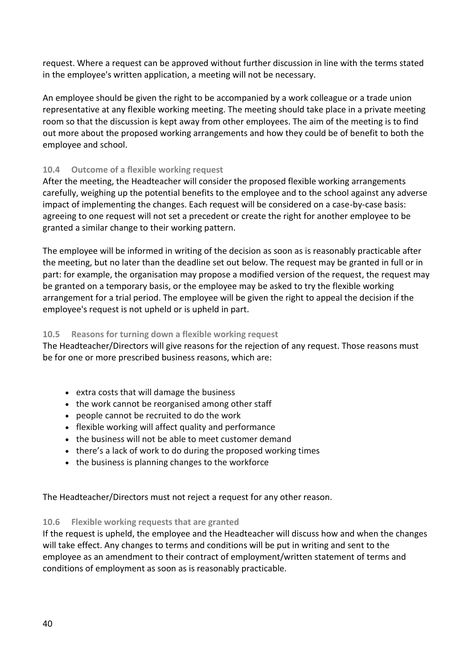request. Where a request can be approved without further discussion in line with the terms stated in the employee's written application, a meeting will not be necessary.

An employee should be given the right to be accompanied by a work colleague or a trade union representative at any flexible working meeting. The meeting should take place in a private meeting room so that the discussion is kept away from other employees. The aim of the meeting is to find out more about the proposed working arrangements and how they could be of benefit to both the employee and school.

### <span id="page-39-0"></span>**10.4 Outcome of a flexible working request**

After the meeting, the Headteacher will consider the proposed flexible working arrangements carefully, weighing up the potential benefits to the employee and to the school against any adverse impact of implementing the changes. Each request will be considered on a case-by-case basis: agreeing to one request will not set a precedent or create the right for another employee to be granted a similar change to their working pattern.

The employee will be informed in writing of the decision as soon as is reasonably practicable after the meeting, but no later than the deadline set out below. The request may be granted in full or in part: for example, the organisation may propose a modified version of the request, the request may be granted on a temporary basis, or the employee may be asked to try the flexible working arrangement for a trial period. The employee will be given the right to appeal the decision if the employee's request is not upheld or is upheld in part.

### <span id="page-39-1"></span>**10.5 Reasons for turning down a flexible working request**

The Headteacher/Directors will give reasons for the rejection of any request. Those reasons must be for one or more prescribed business reasons, which are:

- extra costs that will damage the business
- the work cannot be reorganised among other staff
- people cannot be recruited to do the work
- flexible working will affect quality and performance
- the business will not be able to meet customer demand
- there's a lack of work to do during the proposed working times
- the business is planning changes to the workforce

The Headteacher/Directors must not reject a request for any other reason.

### <span id="page-39-2"></span>**10.6 Flexible working requests that are granted**

If the request is upheld, the employee and the Headteacher will discuss how and when the changes will take effect. Any changes to terms and conditions will be put in writing and sent to the employee as an amendment to their contract of employment/written statement of terms and conditions of employment as soon as is reasonably practicable.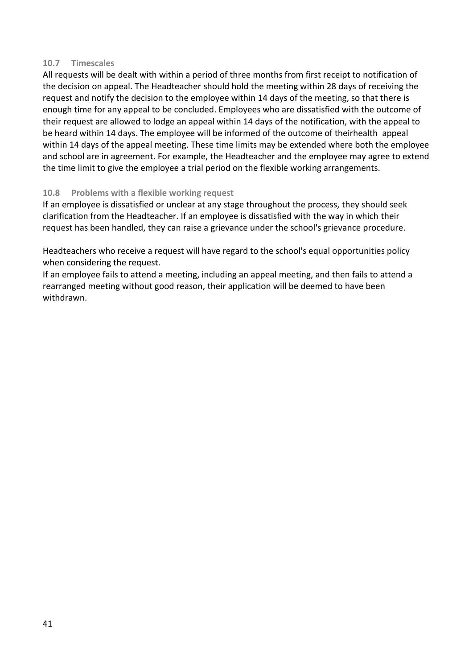### <span id="page-40-0"></span>**10.7 Timescales**

All requests will be dealt with within a period of three months from first receipt to notification of the decision on appeal. The Headteacher should hold the meeting within 28 days of receiving the request and notify the decision to the employee within 14 days of the meeting, so that there is enough time for any appeal to be concluded. Employees who are dissatisfied with the outcome of their request are allowed to lodge an appeal within 14 days of the notification, with the appeal to be heard within 14 days. The employee will be informed of the outcome of theirhealth appeal within 14 days of the appeal meeting. These time limits may be extended where both the employee and school are in agreement. For example, the Headteacher and the employee may agree to extend the time limit to give the employee a trial period on the flexible working arrangements.

### <span id="page-40-1"></span>**10.8 Problems with a flexible working request**

If an employee is dissatisfied or unclear at any stage throughout the process, they should seek clarification from the Headteacher. If an employee is dissatisfied with the way in which their request has been handled, they can raise a grievance under the school's grievance procedure.

Headteachers who receive a request will have regard to the school's equal opportunities policy when considering the request.

If an employee fails to attend a meeting, including an appeal meeting, and then fails to attend a rearranged meeting without good reason, their application will be deemed to have been withdrawn.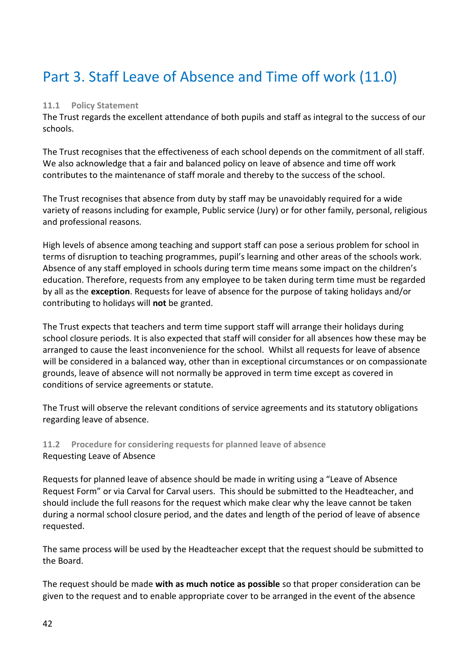# <span id="page-41-0"></span>Part 3. Staff Leave of Absence and Time off work (11.0)

### <span id="page-41-1"></span>**11.1 Policy Statement**

The Trust regards the excellent attendance of both pupils and staff as integral to the success of our schools.

The Trust recognises that the effectiveness of each school depends on the commitment of all staff. We also acknowledge that a fair and balanced policy on leave of absence and time off work contributes to the maintenance of staff morale and thereby to the success of the school.

The Trust recognises that absence from duty by staff may be unavoidably required for a wide variety of reasons including for example, Public service (Jury) or for other family, personal, religious and professional reasons.

High levels of absence among teaching and support staff can pose a serious problem for school in terms of disruption to teaching programmes, pupil's learning and other areas of the schools work. Absence of any staff employed in schools during term time means some impact on the children's education. Therefore, requests from any employee to be taken during term time must be regarded by all as the **exception**. Requests for leave of absence for the purpose of taking holidays and/or contributing to holidays will **not** be granted.

The Trust expects that teachers and term time support staff will arrange their holidays during school closure periods. It is also expected that staff will consider for all absences how these may be arranged to cause the least inconvenience for the school. Whilst all requests for leave of absence will be considered in a balanced way, other than in exceptional circumstances or on compassionate grounds, leave of absence will not normally be approved in term time except as covered in conditions of service agreements or statute.

The Trust will observe the relevant conditions of service agreements and its statutory obligations regarding leave of absence.

### <span id="page-41-2"></span>**11.2 Procedure for considering requests for planned leave of absence** Requesting Leave of Absence

Requests for planned leave of absence should be made in writing using a "Leave of Absence Request Form" or via Carval for Carval users. This should be submitted to the Headteacher, and should include the full reasons for the request which make clear why the leave cannot be taken during a normal school closure period, and the dates and length of the period of leave of absence requested.

The same process will be used by the Headteacher except that the request should be submitted to the Board.

The request should be made **with as much notice as possible** so that proper consideration can be given to the request and to enable appropriate cover to be arranged in the event of the absence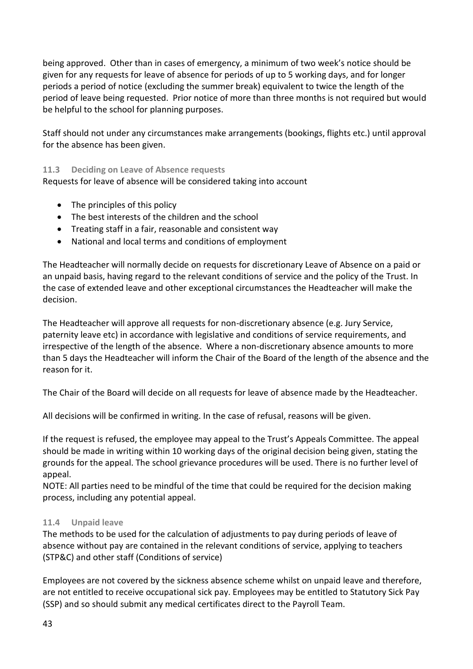being approved. Other than in cases of emergency, a minimum of two week's notice should be given for any requests for leave of absence for periods of up to 5 working days, and for longer periods a period of notice (excluding the summer break) equivalent to twice the length of the period of leave being requested. Prior notice of more than three months is not required but would be helpful to the school for planning purposes.

Staff should not under any circumstances make arrangements (bookings, flights etc.) until approval for the absence has been given.

### <span id="page-42-0"></span>**11.3 Deciding on Leave of Absence requests**

Requests for leave of absence will be considered taking into account

- The principles of this policy
- The best interests of the children and the school
- Treating staff in a fair, reasonable and consistent way
- National and local terms and conditions of employment

The Headteacher will normally decide on requests for discretionary Leave of Absence on a paid or an unpaid basis, having regard to the relevant conditions of service and the policy of the Trust. In the case of extended leave and other exceptional circumstances the Headteacher will make the decision.

The Headteacher will approve all requests for non-discretionary absence (e.g. Jury Service, paternity leave etc) in accordance with legislative and conditions of service requirements, and irrespective of the length of the absence. Where a non-discretionary absence amounts to more than 5 days the Headteacher will inform the Chair of the Board of the length of the absence and the reason for it.

The Chair of the Board will decide on all requests for leave of absence made by the Headteacher.

All decisions will be confirmed in writing. In the case of refusal, reasons will be given.

If the request is refused, the employee may appeal to the Trust's Appeals Committee. The appeal should be made in writing within 10 working days of the original decision being given, stating the grounds for the appeal. The school grievance procedures will be used. There is no further level of appeal.

NOTE: All parties need to be mindful of the time that could be required for the decision making process, including any potential appeal.

### <span id="page-42-1"></span>**11.4 Unpaid leave**

The methods to be used for the calculation of adjustments to pay during periods of leave of absence without pay are contained in the relevant conditions of service, applying to teachers (STP&C) and other staff (Conditions of service)

Employees are not covered by the sickness absence scheme whilst on unpaid leave and therefore, are not entitled to receive occupational sick pay. Employees may be entitled to Statutory Sick Pay (SSP) and so should submit any medical certificates direct to the Payroll Team.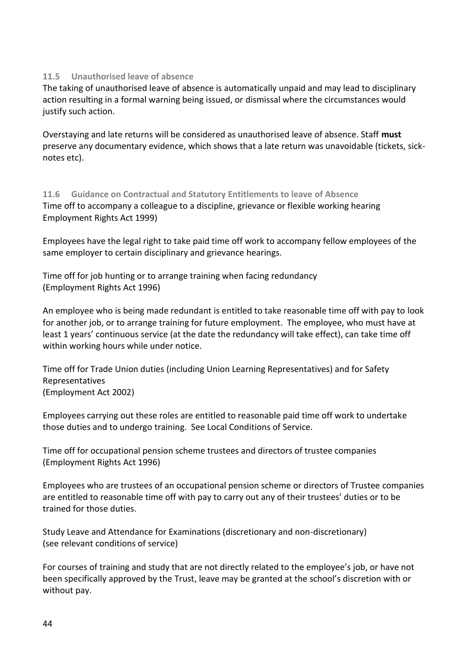### <span id="page-43-0"></span>**11.5 Unauthorised leave of absence**

The taking of unauthorised leave of absence is automatically unpaid and may lead to disciplinary action resulting in a formal warning being issued, or dismissal where the circumstances would justify such action.

Overstaying and late returns will be considered as unauthorised leave of absence. Staff **must** preserve any documentary evidence, which shows that a late return was unavoidable (tickets, sicknotes etc).

<span id="page-43-1"></span>**11.6 Guidance on Contractual and Statutory Entitlements to leave of Absence** Time off to accompany a colleague to a discipline, grievance or flexible working hearing Employment Rights Act 1999)

Employees have the legal right to take paid time off work to accompany fellow employees of the same employer to certain disciplinary and grievance hearings.

Time off for job hunting or to arrange training when facing redundancy (Employment Rights Act 1996)

An employee who is being made redundant is entitled to take reasonable time off with pay to look for another job, or to arrange training for future employment. The employee, who must have at least 1 years' continuous service (at the date the redundancy will take effect), can take time off within working hours while under notice.

Time off for Trade Union duties (including Union Learning Representatives) and for Safety Representatives (Employment Act 2002)

Employees carrying out these roles are entitled to reasonable paid time off work to undertake those duties and to undergo training. See Local Conditions of Service.

Time off for occupational pension scheme trustees and directors of trustee companies (Employment Rights Act 1996)

Employees who are trustees of an occupational pension scheme or directors of Trustee companies are entitled to reasonable time off with pay to carry out any of their trustees' duties or to be trained for those duties.

Study Leave and Attendance for Examinations (discretionary and non-discretionary) (see relevant conditions of service)

For courses of training and study that are not directly related to the employee's job, or have not been specifically approved by the Trust, leave may be granted at the school's discretion with or without pay.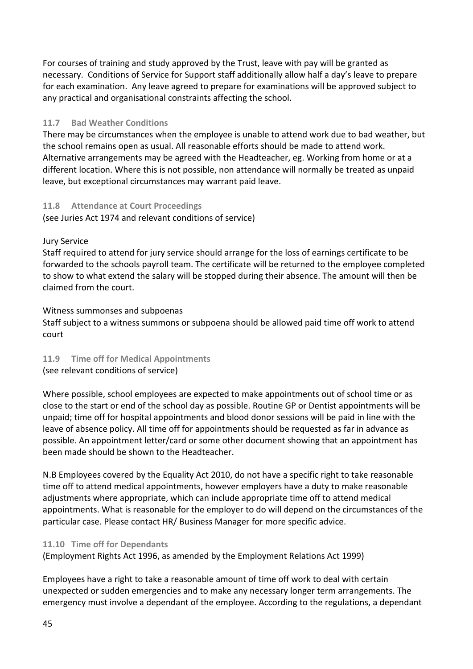For courses of training and study approved by the Trust, leave with pay will be granted as necessary. Conditions of Service for Support staff additionally allow half a day's leave to prepare for each examination. Any leave agreed to prepare for examinations will be approved subject to any practical and organisational constraints affecting the school.

### <span id="page-44-0"></span>**11.7 Bad Weather Conditions**

There may be circumstances when the employee is unable to attend work due to bad weather, but the school remains open as usual. All reasonable efforts should be made to attend work. Alternative arrangements may be agreed with the Headteacher, eg. Working from home or at a different location. Where this is not possible, non attendance will normally be treated as unpaid leave, but exceptional circumstances may warrant paid leave.

### <span id="page-44-1"></span>**11.8 Attendance at Court Proceedings**

(see Juries Act 1974 and relevant conditions of service)

### Jury Service

Staff required to attend for jury service should arrange for the loss of earnings certificate to be forwarded to the schools payroll team. The certificate will be returned to the employee completed to show to what extend the salary will be stopped during their absence. The amount will then be claimed from the court.

### Witness summonses and subpoenas

Staff subject to a witness summons or subpoena should be allowed paid time off work to attend court

### <span id="page-44-2"></span>**11.9 Time off for Medical Appointments**

(see relevant conditions of service)

Where possible, school employees are expected to make appointments out of school time or as close to the start or end of the school day as possible. Routine GP or Dentist appointments will be unpaid; time off for hospital appointments and blood donor sessions will be paid in line with the leave of absence policy. All time off for appointments should be requested as far in advance as possible. An appointment letter/card or some other document showing that an appointment has been made should be shown to the Headteacher.

N.B Employees covered by the Equality Act 2010, do not have a specific right to take reasonable time off to attend medical appointments, however employers have a duty to make reasonable adjustments where appropriate, which can include appropriate time off to attend medical appointments. What is reasonable for the employer to do will depend on the circumstances of the particular case. Please contact HR/ Business Manager for more specific advice.

### <span id="page-44-3"></span>**11.10 Time off for Dependants**

(Employment Rights Act 1996, as amended by the Employment Relations Act 1999)

Employees have a right to take a reasonable amount of time off work to deal with certain unexpected or sudden emergencies and to make any necessary longer term arrangements. The emergency must involve a dependant of the employee. According to the regulations, a dependant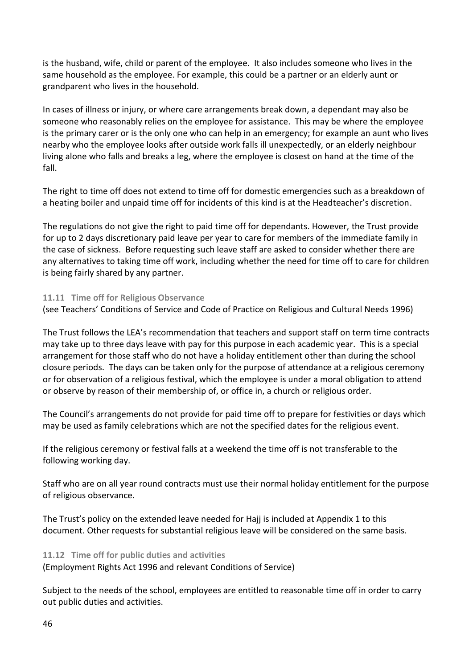is the husband, wife, child or parent of the employee. It also includes someone who lives in the same household as the employee. For example, this could be a partner or an elderly aunt or grandparent who lives in the household.

In cases of illness or injury, or where care arrangements break down, a dependant may also be someone who reasonably relies on the employee for assistance. This may be where the employee is the primary carer or is the only one who can help in an emergency; for example an aunt who lives nearby who the employee looks after outside work falls ill unexpectedly, or an elderly neighbour living alone who falls and breaks a leg, where the employee is closest on hand at the time of the fall.

The right to time off does not extend to time off for domestic emergencies such as a breakdown of a heating boiler and unpaid time off for incidents of this kind is at the Headteacher's discretion.

The regulations do not give the right to paid time off for dependants. However, the Trust provide for up to 2 days discretionary paid leave per year to care for members of the immediate family in the case of sickness. Before requesting such leave staff are asked to consider whether there are any alternatives to taking time off work, including whether the need for time off to care for children is being fairly shared by any partner.

### <span id="page-45-0"></span>**11.11 Time off for Religious Observance**

(see Teachers' Conditions of Service and Code of Practice on Religious and Cultural Needs 1996)

The Trust follows the LEA's recommendation that teachers and support staff on term time contracts may take up to three days leave with pay for this purpose in each academic year. This is a special arrangement for those staff who do not have a holiday entitlement other than during the school closure periods. The days can be taken only for the purpose of attendance at a religious ceremony or for observation of a religious festival, which the employee is under a moral obligation to attend or observe by reason of their membership of, or office in, a church or religious order.

The Council's arrangements do not provide for paid time off to prepare for festivities or days which may be used as family celebrations which are not the specified dates for the religious event.

If the religious ceremony or festival falls at a weekend the time off is not transferable to the following working day.

Staff who are on all year round contracts must use their normal holiday entitlement for the purpose of religious observance.

The Trust's policy on the extended leave needed for Hajj is included at Appendix 1 to this document. Other requests for substantial religious leave will be considered on the same basis.

### <span id="page-45-1"></span>**11.12 Time off for public duties and activities**

(Employment Rights Act 1996 and relevant Conditions of Service)

Subject to the needs of the school, employees are entitled to reasonable time off in order to carry out public duties and activities.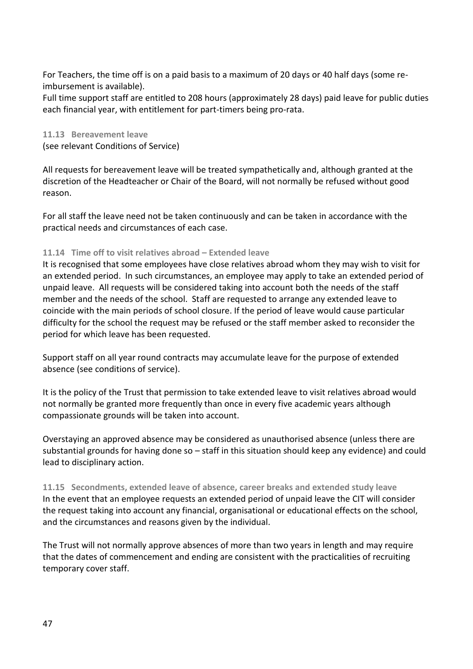For Teachers, the time off is on a paid basis to a maximum of 20 days or 40 half days (some reimbursement is available).

Full time support staff are entitled to 208 hours (approximately 28 days) paid leave for public duties each financial year, with entitlement for part-timers being pro-rata.

### <span id="page-46-0"></span>**11.13 Bereavement leave**

(see relevant Conditions of Service)

All requests for bereavement leave will be treated sympathetically and, although granted at the discretion of the Headteacher or Chair of the Board, will not normally be refused without good reason.

For all staff the leave need not be taken continuously and can be taken in accordance with the practical needs and circumstances of each case.

### <span id="page-46-1"></span>**11.14 Time off to visit relatives abroad – Extended leave**

It is recognised that some employees have close relatives abroad whom they may wish to visit for an extended period. In such circumstances, an employee may apply to take an extended period of unpaid leave. All requests will be considered taking into account both the needs of the staff member and the needs of the school. Staff are requested to arrange any extended leave to coincide with the main periods of school closure. If the period of leave would cause particular difficulty for the school the request may be refused or the staff member asked to reconsider the period for which leave has been requested.

Support staff on all year round contracts may accumulate leave for the purpose of extended absence (see conditions of service).

It is the policy of the Trust that permission to take extended leave to visit relatives abroad would not normally be granted more frequently than once in every five academic years although compassionate grounds will be taken into account.

Overstaying an approved absence may be considered as unauthorised absence (unless there are substantial grounds for having done so – staff in this situation should keep any evidence) and could lead to disciplinary action.

<span id="page-46-2"></span>**11.15 Secondments, extended leave of absence, career breaks and extended study leave** In the event that an employee requests an extended period of unpaid leave the CIT will consider the request taking into account any financial, organisational or educational effects on the school, and the circumstances and reasons given by the individual.

The Trust will not normally approve absences of more than two years in length and may require that the dates of commencement and ending are consistent with the practicalities of recruiting temporary cover staff.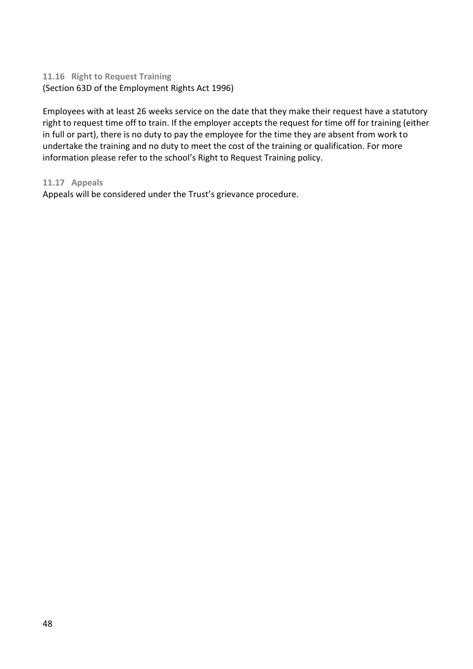### <span id="page-47-0"></span>**11.16 Right to Request Training**  (Section 63D of the Employment Rights Act 1996)

Employees with at least 26 weeks service on the date that they make their request have a statutory right to request time off to train. If the employer accepts the request for time off for training (either in full or part), there is no duty to pay the employee for the time they are absent from work to undertake the training and no duty to meet the cost of the training or qualification. For more information please refer to the school's Right to Request Training policy.

### <span id="page-47-1"></span>**11.17 Appeals**

Appeals will be considered under the Trust's grievance procedure.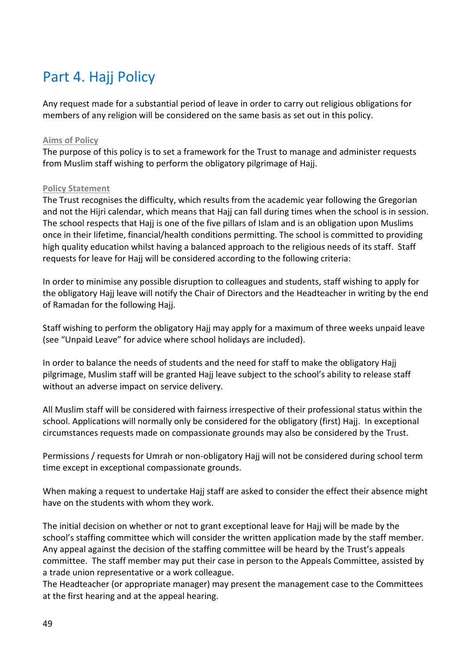# <span id="page-48-0"></span>Part 4. Hajj Policy

Any request made for a substantial period of leave in order to carry out religious obligations for members of any religion will be considered on the same basis as set out in this policy.

### <span id="page-48-1"></span>**Aims of Policy**

The purpose of this policy is to set a framework for the Trust to manage and administer requests from Muslim staff wishing to perform the obligatory pilgrimage of Hajj.

### <span id="page-48-2"></span>**Policy Statement**

The Trust recognises the difficulty, which results from the academic year following the Gregorian and not the Hijri calendar, which means that Hajj can fall during times when the school is in session. The school respects that Hajj is one of the five pillars of Islam and is an obligation upon Muslims once in their lifetime, financial/health conditions permitting. The school is committed to providing high quality education whilst having a balanced approach to the religious needs of its staff. Staff requests for leave for Hajj will be considered according to the following criteria:

In order to minimise any possible disruption to colleagues and students, staff wishing to apply for the obligatory Hajj leave will notify the Chair of Directors and the Headteacher in writing by the end of Ramadan for the following Hajj.

Staff wishing to perform the obligatory Hajj may apply for a maximum of three weeks unpaid leave (see "Unpaid Leave" for advice where school holidays are included).

In order to balance the needs of students and the need for staff to make the obligatory Hajj pilgrimage, Muslim staff will be granted Hajj leave subject to the school's ability to release staff without an adverse impact on service delivery.

All Muslim staff will be considered with fairness irrespective of their professional status within the school. Applications will normally only be considered for the obligatory (first) Hajj. In exceptional circumstances requests made on compassionate grounds may also be considered by the Trust.

Permissions / requests for Umrah or non-obligatory Hajj will not be considered during school term time except in exceptional compassionate grounds.

When making a request to undertake Hajj staff are asked to consider the effect their absence might have on the students with whom they work.

The initial decision on whether or not to grant exceptional leave for Hajj will be made by the school's staffing committee which will consider the written application made by the staff member. Any appeal against the decision of the staffing committee will be heard by the Trust's appeals committee. The staff member may put their case in person to the Appeals Committee, assisted by a trade union representative or a work colleague.

The Headteacher (or appropriate manager) may present the management case to the Committees at the first hearing and at the appeal hearing.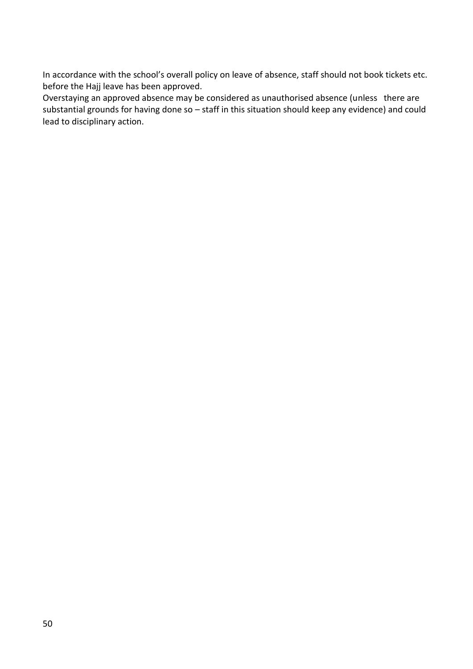In accordance with the school's overall policy on leave of absence, staff should not book tickets etc. before the Hajj leave has been approved.

Overstaying an approved absence may be considered as unauthorised absence (unless there are substantial grounds for having done so – staff in this situation should keep any evidence) and could lead to disciplinary action.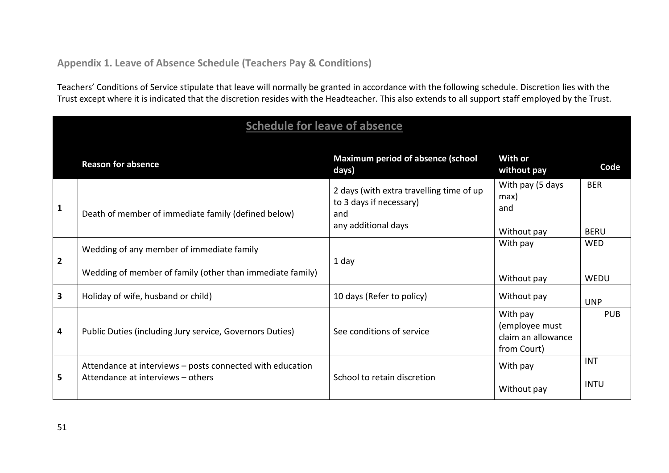### **Appendix 1. Leave of Absence Schedule (Teachers Pay & Conditions)**

Teachers' Conditions of Service stipulate that leave will normally be granted in accordance with the following schedule. Discretion lies with the Trust except where it is indicated that the discretion resides with the Headteacher. This also extends to all support staff employed by the Trust.

<span id="page-50-1"></span><span id="page-50-0"></span>

|                | <b>Schedule for leave of absence</b>                                                                   |                                                                                                   |                                                                 |                           |  |  |  |
|----------------|--------------------------------------------------------------------------------------------------------|---------------------------------------------------------------------------------------------------|-----------------------------------------------------------------|---------------------------|--|--|--|
|                | <b>Reason for absence</b>                                                                              | <b>Maximum period of absence (school</b><br>days)                                                 | <b>With or</b><br>without pay                                   | Code                      |  |  |  |
| $\mathbf{1}$   | Death of member of immediate family (defined below)                                                    | 2 days (with extra travelling time of up<br>to 3 days if necessary)<br>and<br>any additional days | With pay (5 days<br>max)<br>and<br>Without pay                  | <b>BER</b><br><b>BERU</b> |  |  |  |
| $\overline{2}$ | Wedding of any member of immediate family<br>Wedding of member of family (other than immediate family) | 1 day                                                                                             | With pay<br>Without pay                                         | <b>WED</b><br>WEDU        |  |  |  |
| 3              | Holiday of wife, husband or child)                                                                     | 10 days (Refer to policy)                                                                         | Without pay                                                     | <b>UNP</b>                |  |  |  |
| 4              | Public Duties (including Jury service, Governors Duties)                                               | See conditions of service                                                                         | With pay<br>(employee must<br>claim an allowance<br>from Court) | <b>PUB</b>                |  |  |  |
| 5              | Attendance at interviews - posts connected with education<br>Attendance at interviews - others         | School to retain discretion                                                                       | With pay<br>Without pay                                         | <b>INT</b><br><b>INTU</b> |  |  |  |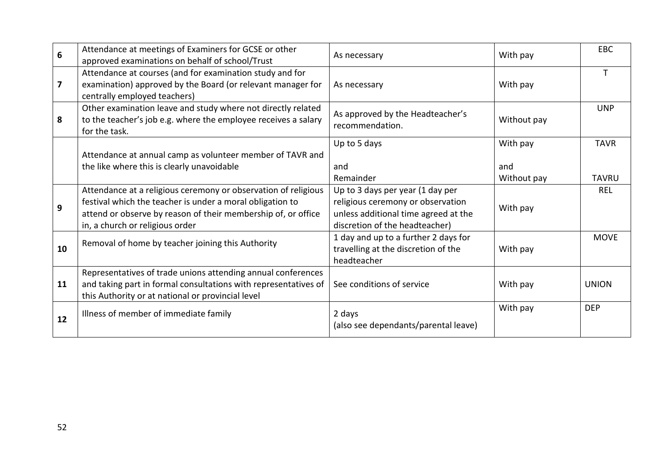| 6  | Attendance at meetings of Examiners for GCSE or other<br>approved examinations on behalf of school/Trust                                                                                                                        | As necessary                                                                                                                                    | With pay                       | <b>EBC</b>                  |
|----|---------------------------------------------------------------------------------------------------------------------------------------------------------------------------------------------------------------------------------|-------------------------------------------------------------------------------------------------------------------------------------------------|--------------------------------|-----------------------------|
| 7  | Attendance at courses (and for examination study and for<br>examination) approved by the Board (or relevant manager for<br>centrally employed teachers)                                                                         | As necessary                                                                                                                                    | With pay                       |                             |
| 8  | Other examination leave and study where not directly related<br>to the teacher's job e.g. where the employee receives a salary<br>for the task.                                                                                 | As approved by the Headteacher's<br>recommendation.                                                                                             | Without pay                    | <b>UNP</b>                  |
|    | Attendance at annual camp as volunteer member of TAVR and<br>the like where this is clearly unavoidable                                                                                                                         | Up to 5 days<br>and<br>Remainder                                                                                                                | With pay<br>and<br>Without pay | <b>TAVR</b><br><b>TAVRU</b> |
| 9  | Attendance at a religious ceremony or observation of religious<br>festival which the teacher is under a moral obligation to<br>attend or observe by reason of their membership of, or office<br>in, a church or religious order | Up to 3 days per year (1 day per<br>religious ceremony or observation<br>unless additional time agreed at the<br>discretion of the headteacher) | With pay                       | <b>REL</b>                  |
| 10 | Removal of home by teacher joining this Authority                                                                                                                                                                               | 1 day and up to a further 2 days for<br>travelling at the discretion of the<br>headteacher                                                      | With pay                       | <b>MOVE</b>                 |
| 11 | Representatives of trade unions attending annual conferences<br>and taking part in formal consultations with representatives of<br>this Authority or at national or provincial level                                            | See conditions of service                                                                                                                       | With pay                       | <b>UNION</b>                |
| 12 | Illness of member of immediate family                                                                                                                                                                                           | 2 days<br>(also see dependants/parental leave)                                                                                                  | With pay                       | <b>DEP</b>                  |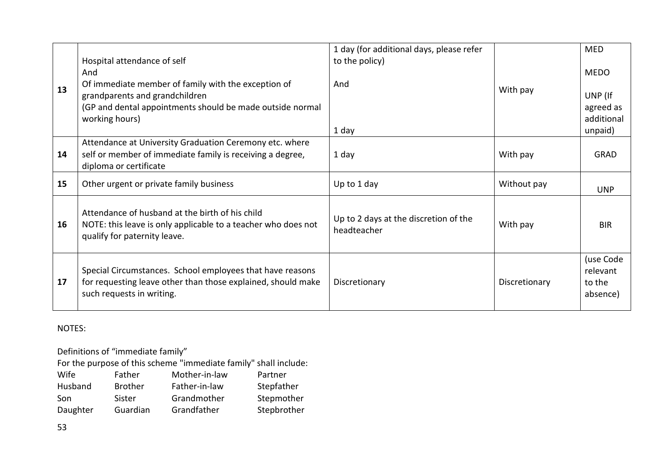| 13 | Hospital attendance of self<br>And<br>Of immediate member of family with the exception of<br>grandparents and grandchildren<br>(GP and dental appointments should be made outside normal<br>working hours) | 1 day (for additional days, please refer<br>to the policy)<br>And<br>1 day | With pay      | <b>MED</b><br><b>MEDO</b><br>UNP (If<br>agreed as<br>additional<br>unpaid) |
|----|------------------------------------------------------------------------------------------------------------------------------------------------------------------------------------------------------------|----------------------------------------------------------------------------|---------------|----------------------------------------------------------------------------|
| 14 | Attendance at University Graduation Ceremony etc. where<br>self or member of immediate family is receiving a degree,<br>diploma or certificate                                                             | 1 day                                                                      | With pay      | <b>GRAD</b>                                                                |
| 15 | Other urgent or private family business                                                                                                                                                                    | Up to 1 day                                                                | Without pay   | <b>UNP</b>                                                                 |
| 16 | Attendance of husband at the birth of his child<br>NOTE: this leave is only applicable to a teacher who does not<br>qualify for paternity leave.                                                           | Up to 2 days at the discretion of the<br>headteacher                       | With pay      | <b>BIR</b>                                                                 |
| 17 | Special Circumstances. School employees that have reasons<br>for requesting leave other than those explained, should make<br>such requests in writing.                                                     | Discretionary                                                              | Discretionary | (use Code<br>relevant<br>to the<br>absence)                                |

### NOTES:

Definitions of "immediate family"

For the purpose of this scheme "immediate family" shall include:

| Wife     | Father         | Mother-in-law | Partner     |
|----------|----------------|---------------|-------------|
| Husband  | <b>Brother</b> | Father-in-law | Stepfather  |
| Son      | Sister         | Grandmother   | Stepmother  |
| Daughter | Guardian       | Grandfather   | Stepbrother |